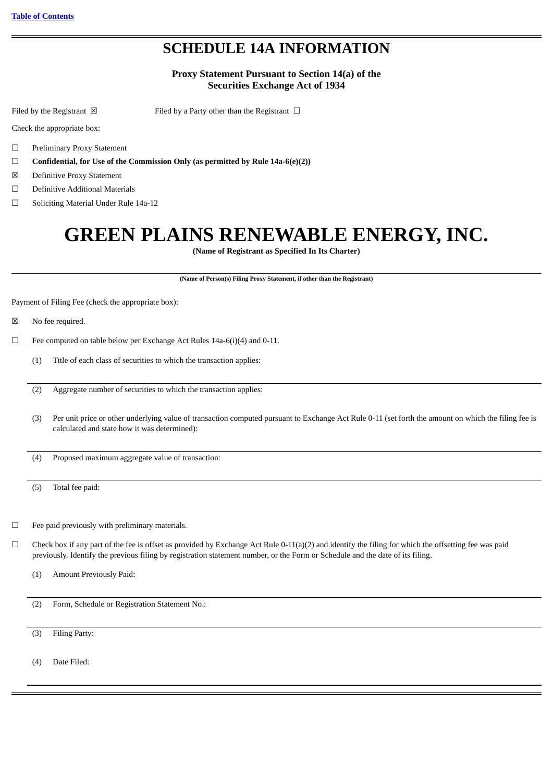## **SCHEDULE 14A INFORMATION**

#### **Proxy Statement Pursuant to Section 14(a) of the Securities Exchange Act of 1934**

Filed by the Registrant  $\boxtimes$  Filed by a Party other than the Registrant  $\Box$ 

Check the appropriate box:

- ☐ Preliminary Proxy Statement
- ☐ **Confidential, for Use of the Commission Only (as permitted by Rule 14a-6(e)(2))**
- ☒ Definitive Proxy Statement
- ☐ Definitive Additional Materials
- ☐ Soliciting Material Under Rule 14a-12

## **GREEN PLAINS RENEWABLE ENERGY, INC.**

**(Name of Registrant as Specified In Its Charter)**

**(Name of Person(s) Filing Proxy Statement, if other than the Registrant)**

Payment of Filing Fee (check the appropriate box):

- ☒ No fee required.
- $\Box$  Fee computed on table below per Exchange Act Rules 14a-6(i)(4) and 0-11.
	- (1) Title of each class of securities to which the transaction applies:
	- (2) Aggregate number of securities to which the transaction applies:
	- (3) Per unit price or other underlying value of transaction computed pursuant to Exchange Act Rule 0-11 (set forth the amount on which the filing fee is calculated and state how it was determined):

(4) Proposed maximum aggregate value of transaction:

(5) Total fee paid:

 $\Box$  Fee paid previously with preliminary materials.

- $\Box$  Check box if any part of the fee is offset as provided by Exchange Act Rule 0-11(a)(2) and identify the filing for which the offsetting fee was paid previously. Identify the previous filing by registration statement number, or the Form or Schedule and the date of its filing.
	- (1) Amount Previously Paid:

(2) Form, Schedule or Registration Statement No.:

(3) Filing Party:

(4) Date Filed: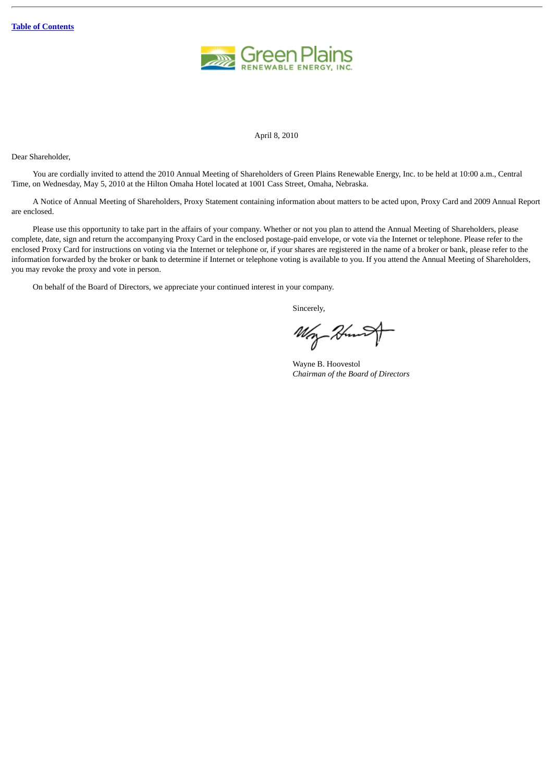

April 8, 2010

Dear Shareholder,

You are cordially invited to attend the 2010 Annual Meeting of Shareholders of Green Plains Renewable Energy, Inc. to be held at 10:00 a.m., Central Time, on Wednesday, May 5, 2010 at the Hilton Omaha Hotel located at 1001 Cass Street, Omaha, Nebraska.

A Notice of Annual Meeting of Shareholders, Proxy Statement containing information about matters to be acted upon, Proxy Card and 2009 Annual Report are enclosed.

Please use this opportunity to take part in the affairs of your company. Whether or not you plan to attend the Annual Meeting of Shareholders, please complete, date, sign and return the accompanying Proxy Card in the enclosed postage-paid envelope, or vote via the Internet or telephone. Please refer to the enclosed Proxy Card for instructions on voting via the Internet or telephone or, if your shares are registered in the name of a broker or bank, please refer to the information forwarded by the broker or bank to determine if Internet or telephone voting is available to you. If you attend the Annual Meeting of Shareholders, you may revoke the proxy and vote in person.

On behalf of the Board of Directors, we appreciate your continued interest in your company.

Sincerely,

Wey-Hun

Wayne B. Hoovestol *Chairman of the Board of Directors*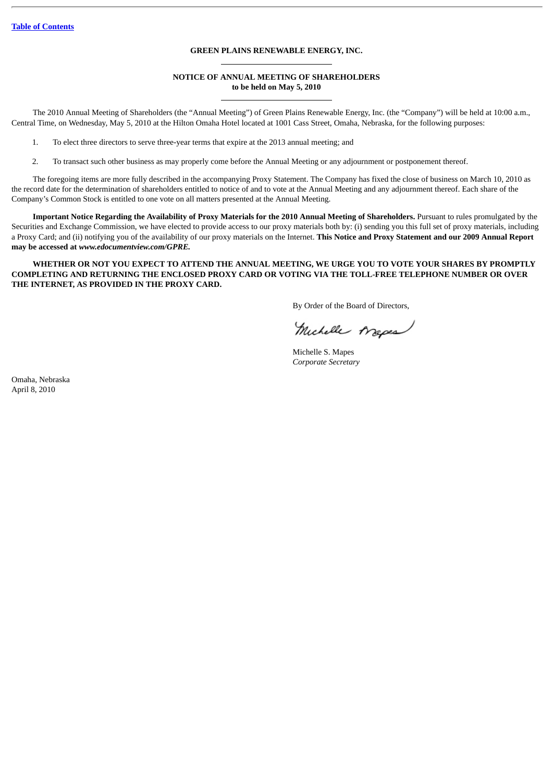#### **GREEN PLAINS RENEWABLE ENERGY, INC.**

#### **NOTICE OF ANNUAL MEETING OF SHAREHOLDERS to be held on May 5, 2010**

The 2010 Annual Meeting of Shareholders (the "Annual Meeting") of Green Plains Renewable Energy, Inc. (the "Company") will be held at 10:00 a.m., Central Time, on Wednesday, May 5, 2010 at the Hilton Omaha Hotel located at 1001 Cass Street, Omaha, Nebraska, for the following purposes:

1. To elect three directors to serve three-year terms that expire at the 2013 annual meeting; and

2. To transact such other business as may properly come before the Annual Meeting or any adjournment or postponement thereof.

The foregoing items are more fully described in the accompanying Proxy Statement. The Company has fixed the close of business on March 10, 2010 as the record date for the determination of shareholders entitled to notice of and to vote at the Annual Meeting and any adjournment thereof. Each share of the Company's Common Stock is entitled to one vote on all matters presented at the Annual Meeting.

**Important Notice Regarding the Availability of Proxy Materials for the 2010 Annual Meeting of Shareholders.** Pursuant to rules promulgated by the Securities and Exchange Commission, we have elected to provide access to our proxy materials both by: (i) sending you this full set of proxy materials, including a Proxy Card; and (ii) notifying you of the availability of our proxy materials on the Internet. **This Notice and Proxy Statement and our 2009 Annual Report may be accessed at** *www.edocumentview.com/GPRE.*

**WHETHER OR NOT YOU EXPECT TO ATTEND THE ANNUAL MEETING, WE URGE YOU TO VOTE YOUR SHARES BY PROMPTLY COMPLETING AND RETURNING THE ENCLOSED PROXY CARD OR VOTING VIA THE TOLL-FREE TELEPHONE NUMBER OR OVER THE INTERNET, AS PROVIDED IN THE PROXY CARD.**

By Order of the Board of Directors,

Michelle Arapes

Michelle S. Mapes *Corporate Secretary*

Omaha, Nebraska April 8, 2010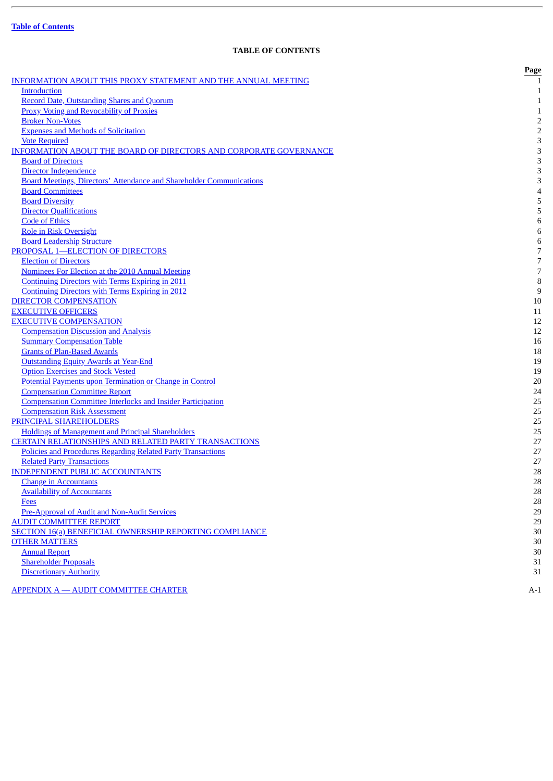Ē.

### **TABLE OF CONTENTS**

<span id="page-3-0"></span>

|                                                                                                                  | Page           |
|------------------------------------------------------------------------------------------------------------------|----------------|
| <b>INFORMATION ABOUT THIS PROXY STATEMENT AND THE ANNUAL MEETING</b>                                             |                |
| <b>Introduction</b>                                                                                              | 1              |
| <b>Record Date, Outstanding Shares and Quorum</b>                                                                | $\mathbf{1}$   |
| <b>Proxy Voting and Revocability of Proxies</b>                                                                  | $\mathbf{1}$   |
| <b>Broker Non-Votes</b>                                                                                          | $\sqrt{2}$     |
| <b>Expenses and Methods of Solicitation</b>                                                                      | $\overline{2}$ |
| <b>Vote Required</b>                                                                                             | 3              |
| <b>INFORMATION ABOUT THE BOARD OF DIRECTORS AND CORPORATE GOVERNANCE</b>                                         | 3              |
| <b>Board of Directors</b>                                                                                        | 3              |
| Director Independence                                                                                            | 3              |
| <b>Board Meetings, Directors' Attendance and Shareholder Communications</b>                                      | 3              |
| <b>Board Committees</b>                                                                                          | $\overline{4}$ |
| <b>Board Diversity</b>                                                                                           | 5              |
| <b>Director Qualifications</b>                                                                                   | 5              |
| <b>Code of Ethics</b>                                                                                            | $\,6$          |
| <b>Role in Risk Oversight</b>                                                                                    | $\,6$          |
| <b>Board Leadership Structure</b>                                                                                | $\,6$          |
| PROPOSAL 1-ELECTION OF DIRECTORS                                                                                 | 7              |
| <b>Election of Directors</b>                                                                                     | 7              |
| Nominees For Election at the 2010 Annual Meeting                                                                 | $\overline{7}$ |
| <b>Continuing Directors with Terms Expiring in 2011</b>                                                          | $\, 8$         |
| <b>Continuing Directors with Terms Expiring in 2012</b>                                                          | 9              |
| <b>DIRECTOR COMPENSATION</b>                                                                                     | 10             |
| <b>EXECUTIVE OFFICERS</b>                                                                                        | 11             |
| <b>EXECUTIVE COMPENSATION</b>                                                                                    | 12             |
| <b>Compensation Discussion and Analysis</b>                                                                      | 12             |
| <b>Summary Compensation Table</b>                                                                                | 16             |
| <b>Grants of Plan-Based Awards</b>                                                                               | 18             |
| <b>Outstanding Equity Awards at Year-End</b>                                                                     | 19             |
| <b>Option Exercises and Stock Vested</b>                                                                         | 19             |
| Potential Payments upon Termination or Change in Control                                                         | 20             |
| <b>Compensation Committee Report</b>                                                                             | 24             |
| <b>Compensation Committee Interlocks and Insider Participation</b>                                               | 25             |
| <b>Compensation Risk Assessment</b>                                                                              | 25             |
| PRINCIPAL SHAREHOLDERS                                                                                           | 25             |
| <b>Holdings of Management and Principal Shareholders</b><br>CERTAIN RELATIONSHIPS AND RELATED PARTY TRANSACTIONS | 25<br>27       |
| Policies and Procedures Regarding Related Party Transactions                                                     | 27             |
| <b>Related Party Transactions</b>                                                                                | 27             |
| <b>INDEPENDENT PUBLIC ACCOUNTANTS</b>                                                                            | 28             |
| <b>Change in Accountants</b>                                                                                     | 28             |
| <b>Availability of Accountants</b>                                                                               | 28             |
| Fees                                                                                                             | 28             |
| Pre-Approval of Audit and Non-Audit Services                                                                     | 29             |
| <b>AUDIT COMMITTEE REPORT</b>                                                                                    | 29             |
| <b>SECTION 16(a) BENEFICIAL OWNERSHIP REPORTING COMPLIANCE</b>                                                   | 30             |
| <b>OTHER MATTERS</b>                                                                                             | 30             |
| <b>Annual Report</b>                                                                                             | 30             |
| <b>Shareholder Proposals</b>                                                                                     | 31             |
| <b>Discretionary Authority</b>                                                                                   | 31             |
|                                                                                                                  |                |
| <b>APPENDIX A - AUDIT COMMITTEE CHARTER</b>                                                                      | A-1            |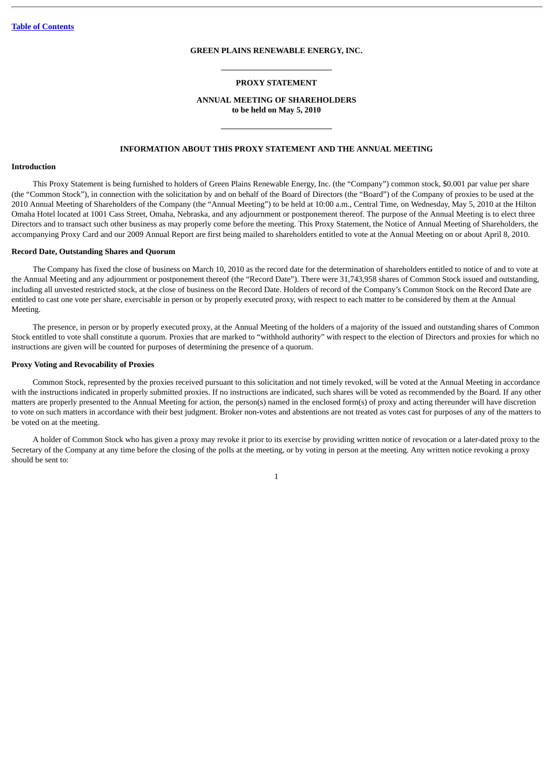#### **GREEN PLAINS RENEWABLE ENERGY, INC.**

#### **PROXY STATEMENT**

#### **ANNUAL MEETING OF SHAREHOLDERS to be held on May 5, 2010**

#### **INFORMATION ABOUT THIS PROXY STATEMENT AND THE ANNUAL MEETING**

#### <span id="page-4-1"></span><span id="page-4-0"></span>**Introduction**

This Proxy Statement is being furnished to holders of Green Plains Renewable Energy, Inc. (the "Company") common stock, \$0.001 par value per share (the "Common Stock"), in connection with the solicitation by and on behalf of the Board of Directors (the "Board") of the Company of proxies to be used at the 2010 Annual Meeting of Shareholders of the Company (the "Annual Meeting") to be held at 10:00 a.m., Central Time, on Wednesday, May 5, 2010 at the Hilton Omaha Hotel located at 1001 Cass Street, Omaha, Nebraska, and any adjournment or postponement thereof. The purpose of the Annual Meeting is to elect three Directors and to transact such other business as may properly come before the meeting. This Proxy Statement, the Notice of Annual Meeting of Shareholders, the accompanying Proxy Card and our 2009 Annual Report are first being mailed to shareholders entitled to vote at the Annual Meeting on or about April 8, 2010.

#### <span id="page-4-2"></span>**Record Date, Outstanding Shares and Quorum**

The Company has fixed the close of business on March 10, 2010 as the record date for the determination of shareholders entitled to notice of and to vote at the Annual Meeting and any adjournment or postponement thereof (the "Record Date"). There were 31,743,958 shares of Common Stock issued and outstanding, including all unvested restricted stock, at the close of business on the Record Date. Holders of record of the Company's Common Stock on the Record Date are entitled to cast one vote per share, exercisable in person or by properly executed proxy, with respect to each matter to be considered by them at the Annual Meeting.

The presence, in person or by properly executed proxy, at the Annual Meeting of the holders of a majority of the issued and outstanding shares of Common Stock entitled to vote shall constitute a quorum. Proxies that are marked to "withhold authority" with respect to the election of Directors and proxies for which no instructions are given will be counted for purposes of determining the presence of a quorum.

#### <span id="page-4-3"></span>**Proxy Voting and Revocability of Proxies**

Common Stock, represented by the proxies received pursuant to this solicitation and not timely revoked, will be voted at the Annual Meeting in accordance with the instructions indicated in properly submitted proxies. If no instructions are indicated, such shares will be voted as recommended by the Board. If any other matters are properly presented to the Annual Meeting for action, the person(s) named in the enclosed form(s) of proxy and acting thereunder will have discretion to vote on such matters in accordance with their best judgment. Broker non-votes and abstentions are not treated as votes cast for purposes of any of the matters to be voted on at the meeting.

A holder of Common Stock who has given a proxy may revoke it prior to its exercise by providing written notice of revocation or a later-dated proxy to the Secretary of the Company at any time before the closing of the polls at the meeting, or by voting in person at the meeting. Any written notice revoking a proxy should be sent to: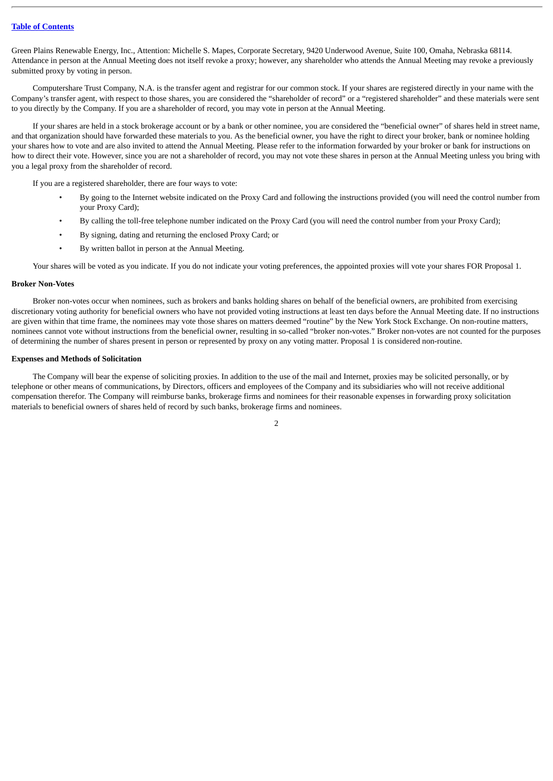Green Plains Renewable Energy, Inc., Attention: Michelle S. Mapes, Corporate Secretary, 9420 Underwood Avenue, Suite 100, Omaha, Nebraska 68114. Attendance in person at the Annual Meeting does not itself revoke a proxy; however, any shareholder who attends the Annual Meeting may revoke a previously submitted proxy by voting in person.

Computershare Trust Company, N.A. is the transfer agent and registrar for our common stock. If your shares are registered directly in your name with the Company's transfer agent, with respect to those shares, you are considered the "shareholder of record" or a "registered shareholder" and these materials were sent to you directly by the Company. If you are a shareholder of record, you may vote in person at the Annual Meeting.

If your shares are held in a stock brokerage account or by a bank or other nominee, you are considered the "beneficial owner" of shares held in street name, and that organization should have forwarded these materials to you. As the beneficial owner, you have the right to direct your broker, bank or nominee holding your shares how to vote and are also invited to attend the Annual Meeting. Please refer to the information forwarded by your broker or bank for instructions on how to direct their vote. However, since you are not a shareholder of record, you may not vote these shares in person at the Annual Meeting unless you bring with you a legal proxy from the shareholder of record.

If you are a registered shareholder, there are four ways to vote:

- By going to the Internet website indicated on the Proxy Card and following the instructions provided (you will need the control number from your Proxy Card);
- By calling the toll-free telephone number indicated on the Proxy Card (you will need the control number from your Proxy Card);
- By signing, dating and returning the enclosed Proxy Card; or
- By written ballot in person at the Annual Meeting.

Your shares will be voted as you indicate. If you do not indicate your voting preferences, the appointed proxies will vote your shares FOR Proposal 1.

#### <span id="page-5-0"></span>**Broker Non-Votes**

Broker non-votes occur when nominees, such as brokers and banks holding shares on behalf of the beneficial owners, are prohibited from exercising discretionary voting authority for beneficial owners who have not provided voting instructions at least ten days before the Annual Meeting date. If no instructions are given within that time frame, the nominees may vote those shares on matters deemed "routine" by the New York Stock Exchange. On non-routine matters, nominees cannot vote without instructions from the beneficial owner, resulting in so-called "broker non-votes." Broker non-votes are not counted for the purposes of determining the number of shares present in person or represented by proxy on any voting matter. Proposal 1 is considered non-routine.

#### <span id="page-5-1"></span>**Expenses and Methods of Solicitation**

The Company will bear the expense of soliciting proxies. In addition to the use of the mail and Internet, proxies may be solicited personally, or by telephone or other means of communications, by Directors, officers and employees of the Company and its subsidiaries who will not receive additional compensation therefor. The Company will reimburse banks, brokerage firms and nominees for their reasonable expenses in forwarding proxy solicitation materials to beneficial owners of shares held of record by such banks, brokerage firms and nominees.

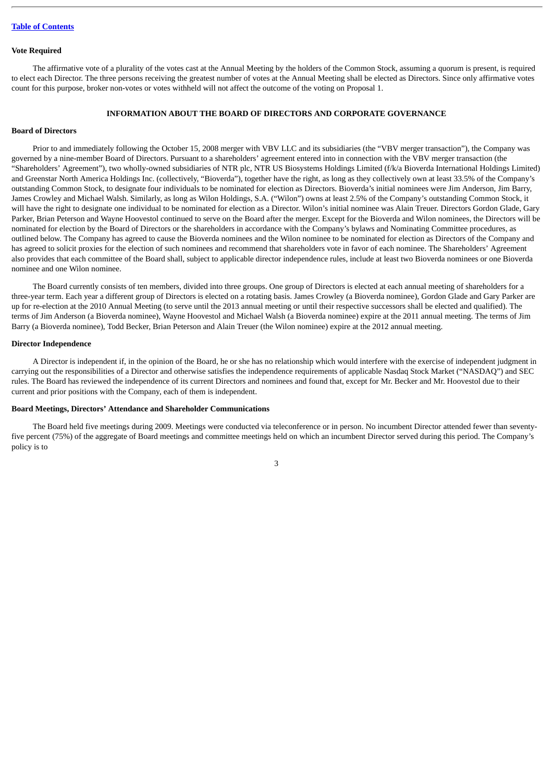#### <span id="page-6-0"></span>**Vote Required**

The affirmative vote of a plurality of the votes cast at the Annual Meeting by the holders of the Common Stock, assuming a quorum is present, is required to elect each Director. The three persons receiving the greatest number of votes at the Annual Meeting shall be elected as Directors. Since only affirmative votes count for this purpose, broker non-votes or votes withheld will not affect the outcome of the voting on Proposal 1.

#### **INFORMATION ABOUT THE BOARD OF DIRECTORS AND CORPORATE GOVERNANCE**

#### <span id="page-6-2"></span><span id="page-6-1"></span>**Board of Directors**

Prior to and immediately following the October 15, 2008 merger with VBV LLC and its subsidiaries (the "VBV merger transaction"), the Company was governed by a nine-member Board of Directors. Pursuant to a shareholders' agreement entered into in connection with the VBV merger transaction (the "Shareholders' Agreement"), two wholly-owned subsidiaries of NTR plc, NTR US Biosystems Holdings Limited (f/k/a Bioverda International Holdings Limited) and Greenstar North America Holdings Inc. (collectively, "Bioverda"), together have the right, as long as they collectively own at least 33.5% of the Company's outstanding Common Stock, to designate four individuals to be nominated for election as Directors. Bioverda's initial nominees were Jim Anderson, Jim Barry, James Crowley and Michael Walsh. Similarly, as long as Wilon Holdings, S.A. ("Wilon") owns at least 2.5% of the Company's outstanding Common Stock, it will have the right to designate one individual to be nominated for election as a Director. Wilon's initial nominee was Alain Treuer. Directors Gordon Glade, Gary Parker, Brian Peterson and Wayne Hoovestol continued to serve on the Board after the merger. Except for the Bioverda and Wilon nominees, the Directors will be nominated for election by the Board of Directors or the shareholders in accordance with the Company's bylaws and Nominating Committee procedures, as outlined below. The Company has agreed to cause the Bioverda nominees and the Wilon nominee to be nominated for election as Directors of the Company and has agreed to solicit proxies for the election of such nominees and recommend that shareholders vote in favor of each nominee. The Shareholders' Agreement also provides that each committee of the Board shall, subject to applicable director independence rules, include at least two Bioverda nominees or one Bioverda nominee and one Wilon nominee.

The Board currently consists of ten members, divided into three groups. One group of Directors is elected at each annual meeting of shareholders for a three-year term. Each year a different group of Directors is elected on a rotating basis. James Crowley (a Bioverda nominee), Gordon Glade and Gary Parker are up for re-election at the 2010 Annual Meeting (to serve until the 2013 annual meeting or until their respective successors shall be elected and qualified). The terms of Jim Anderson (a Bioverda nominee), Wayne Hoovestol and Michael Walsh (a Bioverda nominee) expire at the 2011 annual meeting. The terms of Jim Barry (a Bioverda nominee), Todd Becker, Brian Peterson and Alain Treuer (the Wilon nominee) expire at the 2012 annual meeting.

#### <span id="page-6-3"></span>**Director Independence**

A Director is independent if, in the opinion of the Board, he or she has no relationship which would interfere with the exercise of independent judgment in carrying out the responsibilities of a Director and otherwise satisfies the independence requirements of applicable Nasdaq Stock Market ("NASDAQ") and SEC rules. The Board has reviewed the independence of its current Directors and nominees and found that, except for Mr. Becker and Mr. Hoovestol due to their current and prior positions with the Company, each of them is independent.

#### <span id="page-6-4"></span>**Board Meetings, Directors' Attendance and Shareholder Communications**

The Board held five meetings during 2009. Meetings were conducted via teleconference or in person. No incumbent Director attended fewer than seventyfive percent (75%) of the aggregate of Board meetings and committee meetings held on which an incumbent Director served during this period. The Company's policy is to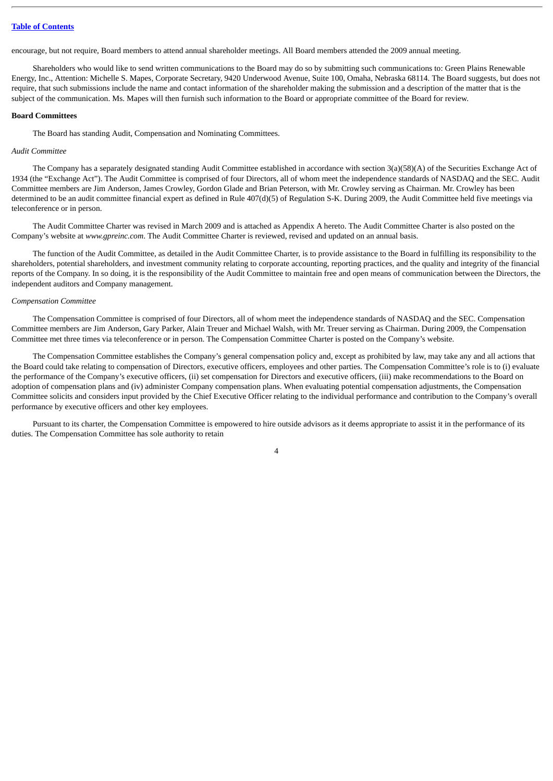encourage, but not require, Board members to attend annual shareholder meetings. All Board members attended the 2009 annual meeting.

Shareholders who would like to send written communications to the Board may do so by submitting such communications to: Green Plains Renewable Energy, Inc., Attention: Michelle S. Mapes, Corporate Secretary, 9420 Underwood Avenue, Suite 100, Omaha, Nebraska 68114. The Board suggests, but does not require, that such submissions include the name and contact information of the shareholder making the submission and a description of the matter that is the subject of the communication. Ms. Mapes will then furnish such information to the Board or appropriate committee of the Board for review.

#### <span id="page-7-0"></span>**Board Committees**

The Board has standing Audit, Compensation and Nominating Committees.

#### *Audit Committee*

The Company has a separately designated standing Audit Committee established in accordance with section 3(a)(58)(A) of the Securities Exchange Act of 1934 (the "Exchange Act"). The Audit Committee is comprised of four Directors, all of whom meet the independence standards of NASDAQ and the SEC. Audit Committee members are Jim Anderson, James Crowley, Gordon Glade and Brian Peterson, with Mr. Crowley serving as Chairman. Mr. Crowley has been determined to be an audit committee financial expert as defined in Rule 407(d)(5) of Regulation S-K. During 2009, the Audit Committee held five meetings via teleconference or in person.

The Audit Committee Charter was revised in March 2009 and is attached as Appendix A hereto. The Audit Committee Charter is also posted on the Company's website at *www.gpreinc.com*. The Audit Committee Charter is reviewed, revised and updated on an annual basis.

The function of the Audit Committee, as detailed in the Audit Committee Charter, is to provide assistance to the Board in fulfilling its responsibility to the shareholders, potential shareholders, and investment community relating to corporate accounting, reporting practices, and the quality and integrity of the financial reports of the Company. In so doing, it is the responsibility of the Audit Committee to maintain free and open means of communication between the Directors, the independent auditors and Company management.

#### *Compensation Committee*

The Compensation Committee is comprised of four Directors, all of whom meet the independence standards of NASDAQ and the SEC. Compensation Committee members are Jim Anderson, Gary Parker, Alain Treuer and Michael Walsh, with Mr. Treuer serving as Chairman. During 2009, the Compensation Committee met three times via teleconference or in person. The Compensation Committee Charter is posted on the Company's website.

The Compensation Committee establishes the Company's general compensation policy and, except as prohibited by law, may take any and all actions that the Board could take relating to compensation of Directors, executive officers, employees and other parties. The Compensation Committee's role is to (i) evaluate the performance of the Company's executive officers, (ii) set compensation for Directors and executive officers, (iii) make recommendations to the Board on adoption of compensation plans and (iv) administer Company compensation plans. When evaluating potential compensation adjustments, the Compensation Committee solicits and considers input provided by the Chief Executive Officer relating to the individual performance and contribution to the Company's overall performance by executive officers and other key employees.

Pursuant to its charter, the Compensation Committee is empowered to hire outside advisors as it deems appropriate to assist it in the performance of its duties. The Compensation Committee has sole authority to retain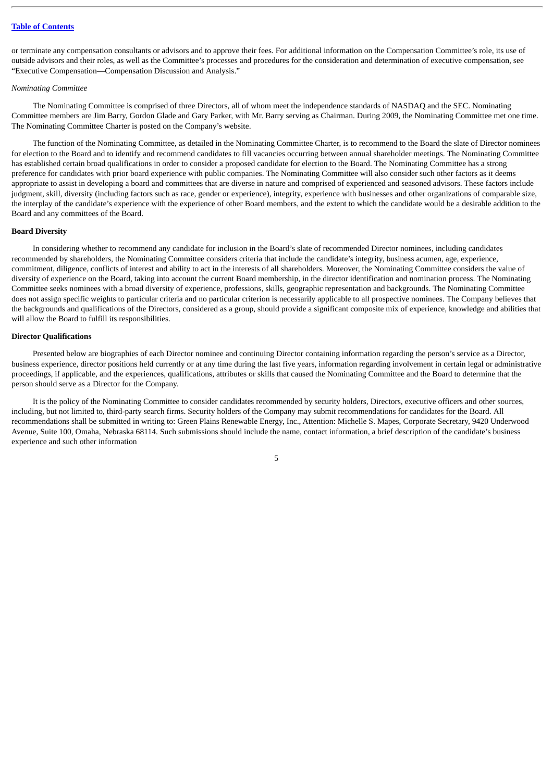or terminate any compensation consultants or advisors and to approve their fees. For additional information on the Compensation Committee's role, its use of outside advisors and their roles, as well as the Committee's processes and procedures for the consideration and determination of executive compensation, see "Executive Compensation—Compensation Discussion and Analysis."

#### *Nominating Committee*

The Nominating Committee is comprised of three Directors, all of whom meet the independence standards of NASDAQ and the SEC. Nominating Committee members are Jim Barry, Gordon Glade and Gary Parker, with Mr. Barry serving as Chairman. During 2009, the Nominating Committee met one time. The Nominating Committee Charter is posted on the Company's website.

The function of the Nominating Committee, as detailed in the Nominating Committee Charter, is to recommend to the Board the slate of Director nominees for election to the Board and to identify and recommend candidates to fill vacancies occurring between annual shareholder meetings. The Nominating Committee has established certain broad qualifications in order to consider a proposed candidate for election to the Board. The Nominating Committee has a strong preference for candidates with prior board experience with public companies. The Nominating Committee will also consider such other factors as it deems appropriate to assist in developing a board and committees that are diverse in nature and comprised of experienced and seasoned advisors. These factors include judgment, skill, diversity (including factors such as race, gender or experience), integrity, experience with businesses and other organizations of comparable size, the interplay of the candidate's experience with the experience of other Board members, and the extent to which the candidate would be a desirable addition to the Board and any committees of the Board.

#### <span id="page-8-0"></span>**Board Diversity**

In considering whether to recommend any candidate for inclusion in the Board's slate of recommended Director nominees, including candidates recommended by shareholders, the Nominating Committee considers criteria that include the candidate's integrity, business acumen, age, experience, commitment, diligence, conflicts of interest and ability to act in the interests of all shareholders. Moreover, the Nominating Committee considers the value of diversity of experience on the Board, taking into account the current Board membership, in the director identification and nomination process. The Nominating Committee seeks nominees with a broad diversity of experience, professions, skills, geographic representation and backgrounds. The Nominating Committee does not assign specific weights to particular criteria and no particular criterion is necessarily applicable to all prospective nominees. The Company believes that the backgrounds and qualifications of the Directors, considered as a group, should provide a significant composite mix of experience, knowledge and abilities that will allow the Board to fulfill its responsibilities.

#### <span id="page-8-1"></span>**Director Qualifications**

Presented below are biographies of each Director nominee and continuing Director containing information regarding the person's service as a Director, business experience, director positions held currently or at any time during the last five years, information regarding involvement in certain legal or administrative proceedings, if applicable, and the experiences, qualifications, attributes or skills that caused the Nominating Committee and the Board to determine that the person should serve as a Director for the Company.

It is the policy of the Nominating Committee to consider candidates recommended by security holders, Directors, executive officers and other sources, including, but not limited to, third-party search firms. Security holders of the Company may submit recommendations for candidates for the Board. All recommendations shall be submitted in writing to: Green Plains Renewable Energy, Inc., Attention: Michelle S. Mapes, Corporate Secretary, 9420 Underwood Avenue, Suite 100, Omaha, Nebraska 68114. Such submissions should include the name, contact information, a brief description of the candidate's business experience and such other information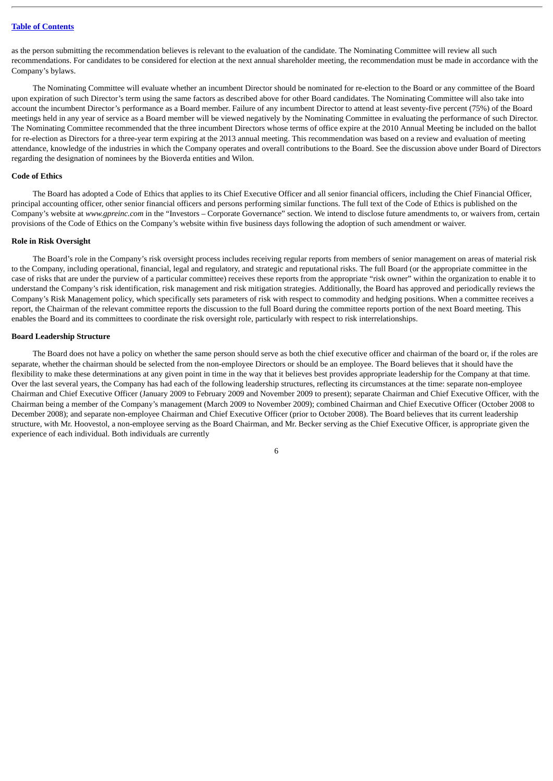as the person submitting the recommendation believes is relevant to the evaluation of the candidate. The Nominating Committee will review all such recommendations. For candidates to be considered for election at the next annual shareholder meeting, the recommendation must be made in accordance with the Company's bylaws.

The Nominating Committee will evaluate whether an incumbent Director should be nominated for re-election to the Board or any committee of the Board upon expiration of such Director's term using the same factors as described above for other Board candidates. The Nominating Committee will also take into account the incumbent Director's performance as a Board member. Failure of any incumbent Director to attend at least seventy-five percent (75%) of the Board meetings held in any year of service as a Board member will be viewed negatively by the Nominating Committee in evaluating the performance of such Director. The Nominating Committee recommended that the three incumbent Directors whose terms of office expire at the 2010 Annual Meeting be included on the ballot for re-election as Directors for a three-year term expiring at the 2013 annual meeting. This recommendation was based on a review and evaluation of meeting attendance, knowledge of the industries in which the Company operates and overall contributions to the Board. See the discussion above under Board of Directors regarding the designation of nominees by the Bioverda entities and Wilon.

#### <span id="page-9-0"></span>**Code of Ethics**

The Board has adopted a Code of Ethics that applies to its Chief Executive Officer and all senior financial officers, including the Chief Financial Officer, principal accounting officer, other senior financial officers and persons performing similar functions. The full text of the Code of Ethics is published on the Company's website at *www.gpreinc.com* in the "Investors – Corporate Governance" section. We intend to disclose future amendments to, or waivers from, certain provisions of the Code of Ethics on the Company's website within five business days following the adoption of such amendment or waiver.

#### <span id="page-9-1"></span>**Role in Risk Oversight**

The Board's role in the Company's risk oversight process includes receiving regular reports from members of senior management on areas of material risk to the Company, including operational, financial, legal and regulatory, and strategic and reputational risks. The full Board (or the appropriate committee in the case of risks that are under the purview of a particular committee) receives these reports from the appropriate "risk owner" within the organization to enable it to understand the Company's risk identification, risk management and risk mitigation strategies. Additionally, the Board has approved and periodically reviews the Company's Risk Management policy, which specifically sets parameters of risk with respect to commodity and hedging positions. When a committee receives a report, the Chairman of the relevant committee reports the discussion to the full Board during the committee reports portion of the next Board meeting. This enables the Board and its committees to coordinate the risk oversight role, particularly with respect to risk interrelationships.

#### <span id="page-9-2"></span>**Board Leadership Structure**

The Board does not have a policy on whether the same person should serve as both the chief executive officer and chairman of the board or, if the roles are separate, whether the chairman should be selected from the non-employee Directors or should be an employee. The Board believes that it should have the flexibility to make these determinations at any given point in time in the way that it believes best provides appropriate leadership for the Company at that time. Over the last several years, the Company has had each of the following leadership structures, reflecting its circumstances at the time: separate non-employee Chairman and Chief Executive Officer (January 2009 to February 2009 and November 2009 to present); separate Chairman and Chief Executive Officer, with the Chairman being a member of the Company's management (March 2009 to November 2009); combined Chairman and Chief Executive Officer (October 2008 to December 2008); and separate non-employee Chairman and Chief Executive Officer (prior to October 2008). The Board believes that its current leadership structure, with Mr. Hoovestol, a non-employee serving as the Board Chairman, and Mr. Becker serving as the Chief Executive Officer, is appropriate given the experience of each individual. Both individuals are currently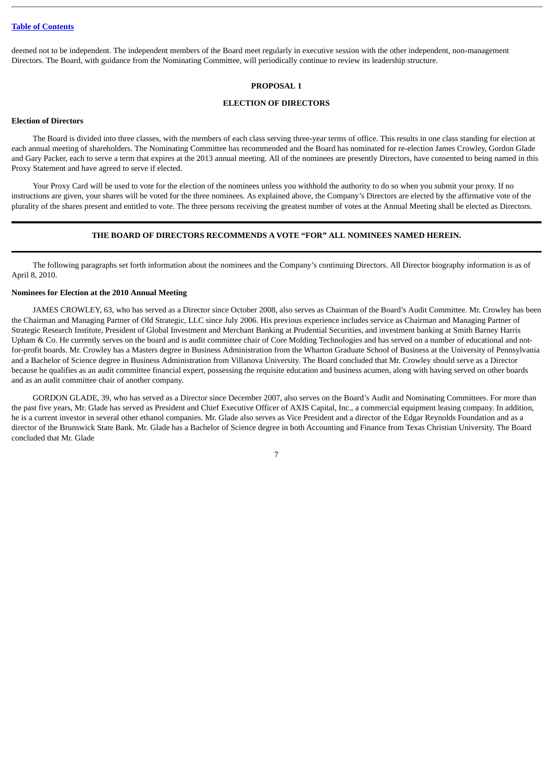<span id="page-10-0"></span>deemed not to be independent. The independent members of the Board meet regularly in executive session with the other independent, non-management Directors. The Board, with guidance from the Nominating Committee, will periodically continue to review its leadership structure.

#### **PROPOSAL 1**

#### **ELECTION OF DIRECTORS**

#### <span id="page-10-1"></span>**Election of Directors**

The Board is divided into three classes, with the members of each class serving three-year terms of office. This results in one class standing for election at each annual meeting of shareholders. The Nominating Committee has recommended and the Board has nominated for re-election James Crowley, Gordon Glade and Gary Packer, each to serve a term that expires at the 2013 annual meeting. All of the nominees are presently Directors, have consented to being named in this Proxy Statement and have agreed to serve if elected.

Your Proxy Card will be used to vote for the election of the nominees unless you withhold the authority to do so when you submit your proxy. If no instructions are given, your shares will be voted for the three nominees. As explained above, the Company's Directors are elected by the affirmative vote of the plurality of the shares present and entitled to vote. The three persons receiving the greatest number of votes at the Annual Meeting shall be elected as Directors.

#### **THE BOARD OF DIRECTORS RECOMMENDS A VOTE "FOR" ALL NOMINEES NAMED HEREIN.**

The following paragraphs set forth information about the nominees and the Company's continuing Directors. All Director biography information is as of April 8, 2010.

#### <span id="page-10-2"></span>**Nominees for Election at the 2010 Annual Meeting**

JAMES CROWLEY, 63, who has served as a Director since October 2008, also serves as Chairman of the Board's Audit Committee. Mr. Crowley has been the Chairman and Managing Partner of Old Strategic, LLC since July 2006. His previous experience includes service as Chairman and Managing Partner of Strategic Research Institute, President of Global Investment and Merchant Banking at Prudential Securities, and investment banking at Smith Barney Harris Upham & Co. He currently serves on the board and is audit committee chair of Core Molding Technologies and has served on a number of educational and notfor-profit boards. Mr. Crowley has a Masters degree in Business Administration from the Wharton Graduate School of Business at the University of Pennsylvania and a Bachelor of Science degree in Business Administration from Villanova University. The Board concluded that Mr. Crowley should serve as a Director because he qualifies as an audit committee financial expert, possessing the requisite education and business acumen, along with having served on other boards and as an audit committee chair of another company.

GORDON GLADE, 39, who has served as a Director since December 2007, also serves on the Board's Audit and Nominating Committees. For more than the past five years, Mr. Glade has served as President and Chief Executive Officer of AXIS Capital, Inc., a commercial equipment leasing company. In addition, he is a current investor in several other ethanol companies. Mr. Glade also serves as Vice President and a director of the Edgar Reynolds Foundation and as a director of the Brunswick State Bank. Mr. Glade has a Bachelor of Science degree in both Accounting and Finance from Texas Christian University. The Board concluded that Mr. Glade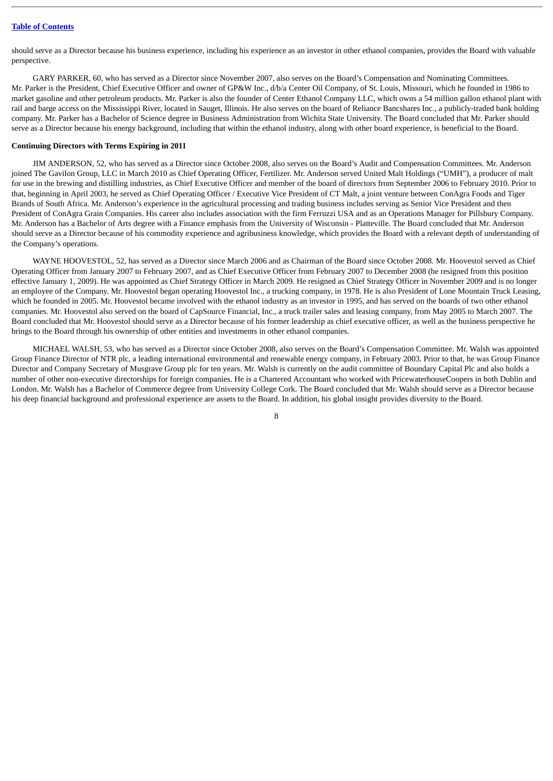should serve as a Director because his business experience, including his experience as an investor in other ethanol companies, provides the Board with valuable perspective.

GARY PARKER, 60, who has served as a Director since November 2007, also serves on the Board's Compensation and Nominating Committees. Mr. Parker is the President, Chief Executive Officer and owner of GP&W Inc., d/b/a Center Oil Company, of St. Louis, Missouri, which he founded in 1986 to market gasoline and other petroleum products. Mr. Parker is also the founder of Center Ethanol Company LLC, which owns a 54 million gallon ethanol plant with rail and barge access on the Mississippi River, located in Sauget, Illinois. He also serves on the board of Reliance Bancshares Inc., a publicly-traded bank holding company. Mr. Parker has a Bachelor of Science degree in Business Administration from Wichita State University. The Board concluded that Mr. Parker should serve as a Director because his energy background, including that within the ethanol industry, along with other board experience, is beneficial to the Board.

#### <span id="page-11-0"></span>**Continuing Directors with Terms Expiring in 2011**

JIM ANDERSON, 52, who has served as a Director since October 2008, also serves on the Board's Audit and Compensation Committees. Mr. Anderson joined The Gavilon Group, LLC in March 2010 as Chief Operating Officer, Fertilizer. Mr. Anderson served United Malt Holdings ("UMH"), a producer of malt for use in the brewing and distilling industries, as Chief Executive Officer and member of the board of directors from September 2006 to February 2010. Prior to that, beginning in April 2003, he served as Chief Operating Officer / Executive Vice President of CT Malt, a joint venture between ConAgra Foods and Tiger Brands of South Africa. Mr. Anderson's experience in the agricultural processing and trading business includes serving as Senior Vice President and then President of ConAgra Grain Companies. His career also includes association with the firm Ferruzzi USA and as an Operations Manager for Pillsbury Company. Mr. Anderson has a Bachelor of Arts degree with a Finance emphasis from the University of Wisconsin - Platteville. The Board concluded that Mr. Anderson should serve as a Director because of his commodity experience and agribusiness knowledge, which provides the Board with a relevant depth of understanding of the Company's operations.

WAYNE HOOVESTOL, 52, has served as a Director since March 2006 and as Chairman of the Board since October 2008. Mr. Hoovestol served as Chief Operating Officer from January 2007 to February 2007, and as Chief Executive Officer from February 2007 to December 2008 (he resigned from this position effective January 1, 2009). He was appointed as Chief Strategy Officer in March 2009. He resigned as Chief Strategy Officer in November 2009 and is no longer an employee of the Company. Mr. Hoovestol began operating Hoovestol Inc., a trucking company, in 1978. He is also President of Lone Mountain Truck Leasing, which he founded in 2005. Mr. Hoovestol became involved with the ethanol industry as an investor in 1995, and has served on the boards of two other ethanol companies. Mr. Hoovestol also served on the board of CapSource Financial, Inc., a truck trailer sales and leasing company, from May 2005 to March 2007. The Board concluded that Mr. Hoovestol should serve as a Director because of his former leadership as chief executive officer, as well as the business perspective he brings to the Board through his ownership of other entities and investments in other ethanol companies.

MICHAEL WALSH, 53, who has served as a Director since October 2008, also serves on the Board's Compensation Committee. Mr. Walsh was appointed Group Finance Director of NTR plc, a leading international environmental and renewable energy company, in February 2003. Prior to that, he was Group Finance Director and Company Secretary of Musgrave Group plc for ten years. Mr. Walsh is currently on the audit committee of Boundary Capital Plc and also holds a number of other non-executive directorships for foreign companies. He is a Chartered Accountant who worked with PricewaterhouseCoopers in both Dublin and London. Mr. Walsh has a Bachelor of Commerce degree from University College Cork. The Board concluded that Mr. Walsh should serve as a Director because his deep financial background and professional experience are assets to the Board. In addition, his global insight provides diversity to the Board.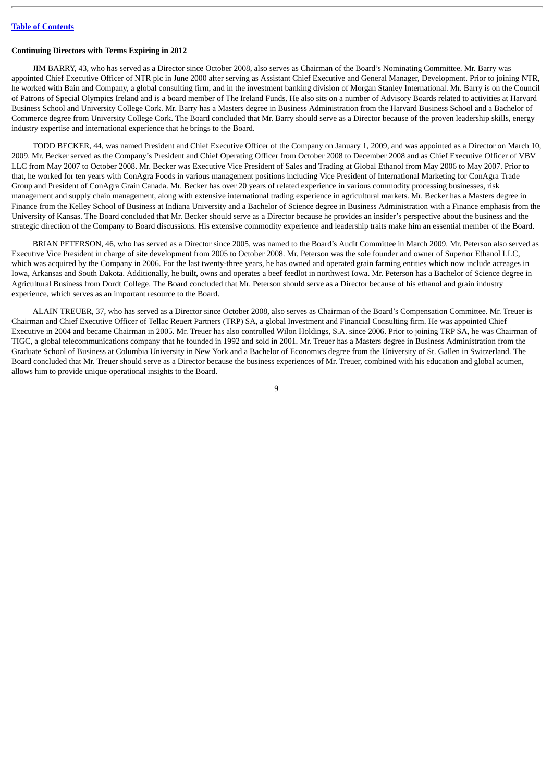#### <span id="page-12-0"></span>**Continuing Directors with Terms Expiring in 2012**

JIM BARRY, 43, who has served as a Director since October 2008, also serves as Chairman of the Board's Nominating Committee. Mr. Barry was appointed Chief Executive Officer of NTR plc in June 2000 after serving as Assistant Chief Executive and General Manager, Development. Prior to joining NTR, he worked with Bain and Company, a global consulting firm, and in the investment banking division of Morgan Stanley International. Mr. Barry is on the Council of Patrons of Special Olympics Ireland and is a board member of The Ireland Funds. He also sits on a number of Advisory Boards related to activities at Harvard Business School and University College Cork. Mr. Barry has a Masters degree in Business Administration from the Harvard Business School and a Bachelor of Commerce degree from University College Cork. The Board concluded that Mr. Barry should serve as a Director because of the proven leadership skills, energy industry expertise and international experience that he brings to the Board.

TODD BECKER, 44, was named President and Chief Executive Officer of the Company on January 1, 2009, and was appointed as a Director on March 10, 2009. Mr. Becker served as the Company's President and Chief Operating Officer from October 2008 to December 2008 and as Chief Executive Officer of VBV LLC from May 2007 to October 2008. Mr. Becker was Executive Vice President of Sales and Trading at Global Ethanol from May 2006 to May 2007. Prior to that, he worked for ten years with ConAgra Foods in various management positions including Vice President of International Marketing for ConAgra Trade Group and President of ConAgra Grain Canada. Mr. Becker has over 20 years of related experience in various commodity processing businesses, risk management and supply chain management, along with extensive international trading experience in agricultural markets. Mr. Becker has a Masters degree in Finance from the Kelley School of Business at Indiana University and a Bachelor of Science degree in Business Administration with a Finance emphasis from the University of Kansas. The Board concluded that Mr. Becker should serve as a Director because he provides an insider's perspective about the business and the strategic direction of the Company to Board discussions. His extensive commodity experience and leadership traits make him an essential member of the Board.

BRIAN PETERSON, 46, who has served as a Director since 2005, was named to the Board's Audit Committee in March 2009. Mr. Peterson also served as Executive Vice President in charge of site development from 2005 to October 2008. Mr. Peterson was the sole founder and owner of Superior Ethanol LLC, which was acquired by the Company in 2006. For the last twenty-three years, he has owned and operated grain farming entities which now include acreages in Iowa, Arkansas and South Dakota. Additionally, he built, owns and operates a beef feedlot in northwest Iowa. Mr. Peterson has a Bachelor of Science degree in Agricultural Business from Dordt College. The Board concluded that Mr. Peterson should serve as a Director because of his ethanol and grain industry experience, which serves as an important resource to the Board.

ALAIN TREUER, 37, who has served as a Director since October 2008, also serves as Chairman of the Board's Compensation Committee. Mr. Treuer is Chairman and Chief Executive Officer of Tellac Reuert Partners (TRP) SA, a global Investment and Financial Consulting firm. He was appointed Chief Executive in 2004 and became Chairman in 2005. Mr. Treuer has also controlled Wilon Holdings, S.A. since 2006. Prior to joining TRP SA, he was Chairman of TIGC, a global telecommunications company that he founded in 1992 and sold in 2001. Mr. Treuer has a Masters degree in Business Administration from the Graduate School of Business at Columbia University in New York and a Bachelor of Economics degree from the University of St. Gallen in Switzerland. The Board concluded that Mr. Treuer should serve as a Director because the business experiences of Mr. Treuer, combined with his education and global acumen, allows him to provide unique operational insights to the Board.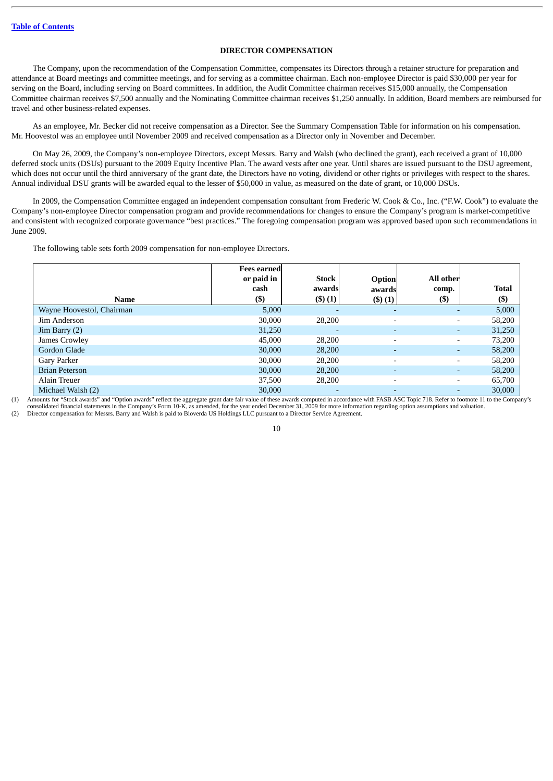#### **DIRECTOR COMPENSATION**

<span id="page-13-0"></span>The Company, upon the recommendation of the Compensation Committee, compensates its Directors through a retainer structure for preparation and attendance at Board meetings and committee meetings, and for serving as a committee chairman. Each non-employee Director is paid \$30,000 per year for serving on the Board, including serving on Board committees. In addition, the Audit Committee chairman receives \$15,000 annually, the Compensation Committee chairman receives \$7,500 annually and the Nominating Committee chairman receives \$1,250 annually. In addition, Board members are reimbursed for travel and other business-related expenses.

As an employee, Mr. Becker did not receive compensation as a Director. See the Summary Compensation Table for information on his compensation. Mr. Hoovestol was an employee until November 2009 and received compensation as a Director only in November and December.

On May 26, 2009, the Company's non-employee Directors, except Messrs. Barry and Walsh (who declined the grant), each received a grant of 10,000 deferred stock units (DSUs) pursuant to the 2009 Equity Incentive Plan. The award vests after one year. Until shares are issued pursuant to the DSU agreement, which does not occur until the third anniversary of the grant date, the Directors have no voting, dividend or other rights or privileges with respect to the shares. Annual individual DSU grants will be awarded equal to the lesser of \$50,000 in value, as measured on the date of grant, or 10,000 DSUs.

In 2009, the Compensation Committee engaged an independent compensation consultant from Frederic W. Cook & Co., Inc. ("F.W. Cook") to evaluate the Company's non-employee Director compensation program and provide recommendations for changes to ensure the Company's program is market-competitive and consistent with recognized corporate governance "best practices." The foregoing compensation program was approved based upon such recommendations in June 2009.

The following table sets forth 2009 compensation for non-employee Directors.

|                           | <b>Fees earned</b><br>or paid in | Stock                    | <b>Option</b>            | All other |              |
|---------------------------|----------------------------------|--------------------------|--------------------------|-----------|--------------|
|                           | cash                             | awards                   | awards                   | comp.     | <b>Total</b> |
| <b>Name</b>               | $($ \$)                          | (3)(1)                   | $($ \$ $)(1)$            | $($ \$)   | $($ \$       |
| Wayne Hoovestol, Chairman | 5,000                            | $\overline{\phantom{a}}$ | $\overline{\phantom{0}}$ |           | 5,000        |
| Jim Anderson              | 30,000                           | 28,200                   | $\overline{\phantom{a}}$ | -         | 58,200       |
| Jim Barry $(2)$           | 31,250                           | $\overline{\phantom{a}}$ | $\overline{\phantom{0}}$ | -         | 31,250       |
| James Crowley             | 45,000                           | 28,200                   | $\overline{\phantom{a}}$ | -         | 73,200       |
| Gordon Glade              | 30,000                           | 28,200                   | $\overline{\phantom{a}}$ |           | 58,200       |
| Gary Parker               | 30,000                           | 28,200                   | $\overline{\phantom{a}}$ | -         | 58,200       |
| <b>Brian Peterson</b>     | 30,000                           | 28,200                   | ٠                        |           | 58,200       |
| Alain Treuer              | 37,500                           | 28,200                   | $\overline{\phantom{a}}$ | -         | 65,700       |
| Michael Walsh (2)         | 30,000                           | $\overline{\phantom{0}}$ | $\overline{\phantom{0}}$ |           | 30,000       |

(1) Amounts for "Stock awards" and "Option awards" reflect the aggregate grant date fair value of these awards computed in accordance with FASB ASC Topic 718. Refer to footnote 11 to the Company's

consolidated financial statements in the Company's Form 10-K, as amended, for the year ended December 31, 2009 for more information regarding option assumptions and valuation.<br>(2) Director compensation for Messrs. Barry an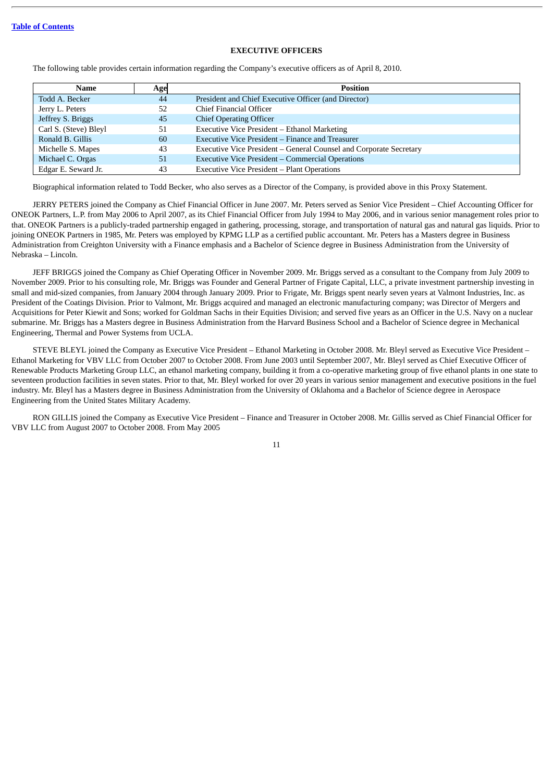#### **EXECUTIVE OFFICERS**

<span id="page-14-0"></span>The following table provides certain information regarding the Company's executive officers as of April 8, 2010.

| Name                  | Age | <b>Position</b>                                                    |
|-----------------------|-----|--------------------------------------------------------------------|
| Todd A. Becker        | 44  | President and Chief Executive Officer (and Director)               |
| Jerry L. Peters       | 52  | Chief Financial Officer                                            |
| Jeffrey S. Briggs     | 45  | <b>Chief Operating Officer</b>                                     |
| Carl S. (Steve) Bleyl | 51  | Executive Vice President - Ethanol Marketing                       |
| Ronald B. Gillis      | 60  | Executive Vice President – Finance and Treasurer                   |
| Michelle S. Mapes     | 43  | Executive Vice President - General Counsel and Corporate Secretary |
| Michael C. Orgas      | 51  | <b>Executive Vice President – Commercial Operations</b>            |
| Edgar E. Seward Jr.   | 43  | Executive Vice President - Plant Operations                        |

Biographical information related to Todd Becker, who also serves as a Director of the Company, is provided above in this Proxy Statement.

JERRY PETERS joined the Company as Chief Financial Officer in June 2007. Mr. Peters served as Senior Vice President – Chief Accounting Officer for ONEOK Partners, L.P. from May 2006 to April 2007, as its Chief Financial Officer from July 1994 to May 2006, and in various senior management roles prior to that. ONEOK Partners is a publicly-traded partnership engaged in gathering, processing, storage, and transportation of natural gas and natural gas liquids. Prior to joining ONEOK Partners in 1985, Mr. Peters was employed by KPMG LLP as a certified public accountant. Mr. Peters has a Masters degree in Business Administration from Creighton University with a Finance emphasis and a Bachelor of Science degree in Business Administration from the University of Nebraska – Lincoln.

JEFF BRIGGS joined the Company as Chief Operating Officer in November 2009. Mr. Briggs served as a consultant to the Company from July 2009 to November 2009. Prior to his consulting role, Mr. Briggs was Founder and General Partner of Frigate Capital, LLC, a private investment partnership investing in small and mid-sized companies, from January 2004 through January 2009. Prior to Frigate, Mr. Briggs spent nearly seven years at Valmont Industries, Inc. as President of the Coatings Division. Prior to Valmont, Mr. Briggs acquired and managed an electronic manufacturing company; was Director of Mergers and Acquisitions for Peter Kiewit and Sons; worked for Goldman Sachs in their Equities Division; and served five years as an Officer in the U.S. Navy on a nuclear submarine. Mr. Briggs has a Masters degree in Business Administration from the Harvard Business School and a Bachelor of Science degree in Mechanical Engineering, Thermal and Power Systems from UCLA.

STEVE BLEYL joined the Company as Executive Vice President – Ethanol Marketing in October 2008. Mr. Bleyl served as Executive Vice President – Ethanol Marketing for VBV LLC from October 2007 to October 2008. From June 2003 until September 2007, Mr. Bleyl served as Chief Executive Officer of Renewable Products Marketing Group LLC, an ethanol marketing company, building it from a co-operative marketing group of five ethanol plants in one state to seventeen production facilities in seven states. Prior to that, Mr. Bleyl worked for over 20 years in various senior management and executive positions in the fuel industry. Mr. Bleyl has a Masters degree in Business Administration from the University of Oklahoma and a Bachelor of Science degree in Aerospace Engineering from the United States Military Academy.

RON GILLIS joined the Company as Executive Vice President – Finance and Treasurer in October 2008. Mr. Gillis served as Chief Financial Officer for VBV LLC from August 2007 to October 2008. From May 2005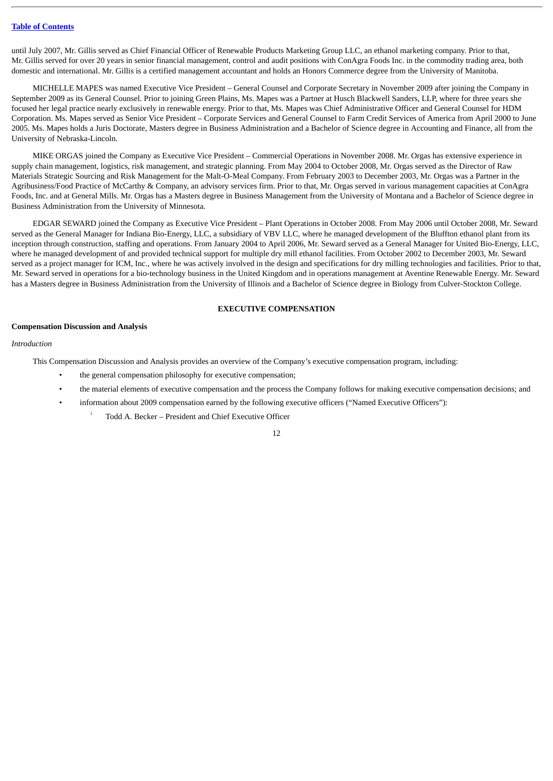until July 2007, Mr. Gillis served as Chief Financial Officer of Renewable Products Marketing Group LLC, an ethanol marketing company. Prior to that, Mr. Gillis served for over 20 years in senior financial management, control and audit positions with ConAgra Foods Inc. in the commodity trading area, both domestic and international. Mr. Gillis is a certified management accountant and holds an Honors Commerce degree from the University of Manitoba.

MICHELLE MAPES was named Executive Vice President – General Counsel and Corporate Secretary in November 2009 after joining the Company in September 2009 as its General Counsel. Prior to joining Green Plains, Ms. Mapes was a Partner at Husch Blackwell Sanders, LLP, where for three years she focused her legal practice nearly exclusively in renewable energy. Prior to that, Ms. Mapes was Chief Administrative Officer and General Counsel for HDM Corporation. Ms. Mapes served as Senior Vice President – Corporate Services and General Counsel to Farm Credit Services of America from April 2000 to June 2005. Ms. Mapes holds a Juris Doctorate, Masters degree in Business Administration and a Bachelor of Science degree in Accounting and Finance, all from the University of Nebraska-Lincoln.

MIKE ORGAS joined the Company as Executive Vice President – Commercial Operations in November 2008. Mr. Orgas has extensive experience in supply chain management, logistics, risk management, and strategic planning. From May 2004 to October 2008, Mr. Orgas served as the Director of Raw Materials Strategic Sourcing and Risk Management for the Malt-O-Meal Company. From February 2003 to December 2003, Mr. Orgas was a Partner in the Agribusiness/Food Practice of McCarthy & Company, an advisory services firm. Prior to that, Mr. Orgas served in various management capacities at ConAgra Foods, Inc. and at General Mills. Mr. Orgas has a Masters degree in Business Management from the University of Montana and a Bachelor of Science degree in Business Administration from the University of Minnesota.

EDGAR SEWARD joined the Company as Executive Vice President – Plant Operations in October 2008. From May 2006 until October 2008, Mr. Seward served as the General Manager for Indiana Bio-Energy, LLC, a subsidiary of VBV LLC, where he managed development of the Bluffton ethanol plant from its inception through construction, staffing and operations. From January 2004 to April 2006, Mr. Seward served as a General Manager for United Bio-Energy, LLC, where he managed development of and provided technical support for multiple dry mill ethanol facilities. From October 2002 to December 2003, Mr. Seward served as a project manager for ICM, Inc., where he was actively involved in the design and specifications for dry milling technologies and facilities. Prior to that, Mr. Seward served in operations for a bio-technology business in the United Kingdom and in operations management at Aventine Renewable Energy. Mr. Seward has a Masters degree in Business Administration from the University of Illinois and a Bachelor of Science degree in Biology from Culver-Stockton College.

#### **EXECUTIVE COMPENSATION**

#### <span id="page-15-1"></span><span id="page-15-0"></span>**Compensation Discussion and Analysis**

#### *Introduction*

This Compensation Discussion and Analysis provides an overview of the Company's executive compensation program, including:

- the general compensation philosophy for executive compensation:
- the material elements of executive compensation and the process the Company follows for making executive compensation decisions; and
	- information about 2009 compensation earned by the following executive officers ("Named Executive Officers"):
		- Todd A. Becker President and Chief Executive Officer ¡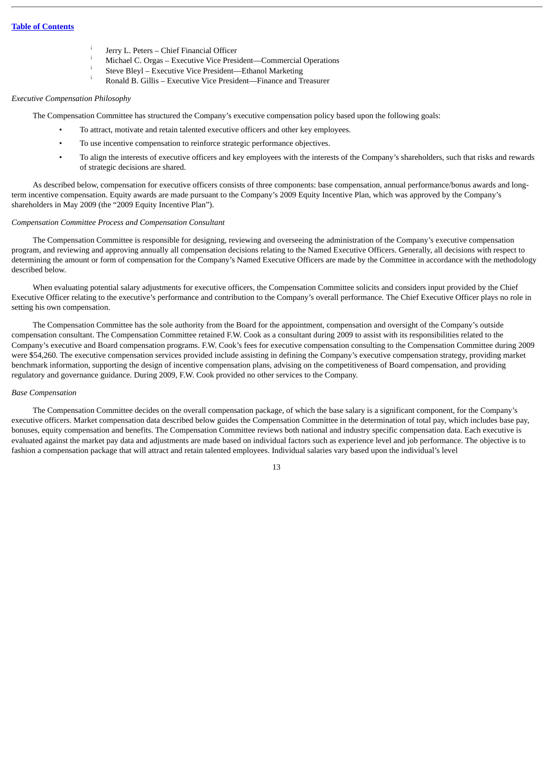- Jerry L. Peters Chief Financial Officer ¡
- Michael C. Orgas Executive Vice President—Commercial Operations ¡
- Steve Bleyl Executive Vice President—Ethanol Marketing ¡
- Ronald B. Gillis Executive Vice President—Finance and Treasurer ¡

#### *Executive Compensation Philosophy*

The Compensation Committee has structured the Company's executive compensation policy based upon the following goals:

- To attract, motivate and retain talented executive officers and other key employees.
- To use incentive compensation to reinforce strategic performance objectives.
- To align the interests of executive officers and key employees with the interests of the Company's shareholders, such that risks and rewards of strategic decisions are shared.

As described below, compensation for executive officers consists of three components: base compensation, annual performance/bonus awards and longterm incentive compensation. Equity awards are made pursuant to the Company's 2009 Equity Incentive Plan, which was approved by the Company's shareholders in May 2009 (the "2009 Equity Incentive Plan").

#### *Compensation Committee Process and Compensation Consultant*

The Compensation Committee is responsible for designing, reviewing and overseeing the administration of the Company's executive compensation program, and reviewing and approving annually all compensation decisions relating to the Named Executive Officers. Generally, all decisions with respect to determining the amount or form of compensation for the Company's Named Executive Officers are made by the Committee in accordance with the methodology described below.

When evaluating potential salary adjustments for executive officers, the Compensation Committee solicits and considers input provided by the Chief Executive Officer relating to the executive's performance and contribution to the Company's overall performance. The Chief Executive Officer plays no role in setting his own compensation.

The Compensation Committee has the sole authority from the Board for the appointment, compensation and oversight of the Company's outside compensation consultant. The Compensation Committee retained F.W. Cook as a consultant during 2009 to assist with its responsibilities related to the Company's executive and Board compensation programs. F.W. Cook's fees for executive compensation consulting to the Compensation Committee during 2009 were \$54,260. The executive compensation services provided include assisting in defining the Company's executive compensation strategy, providing market benchmark information, supporting the design of incentive compensation plans, advising on the competitiveness of Board compensation, and providing regulatory and governance guidance. During 2009, F.W. Cook provided no other services to the Company.

#### *Base Compensation*

The Compensation Committee decides on the overall compensation package, of which the base salary is a significant component, for the Company's executive officers. Market compensation data described below guides the Compensation Committee in the determination of total pay, which includes base pay, bonuses, equity compensation and benefits. The Compensation Committee reviews both national and industry specific compensation data. Each executive is evaluated against the market pay data and adjustments are made based on individual factors such as experience level and job performance. The objective is to fashion a compensation package that will attract and retain talented employees. Individual salaries vary based upon the individual's level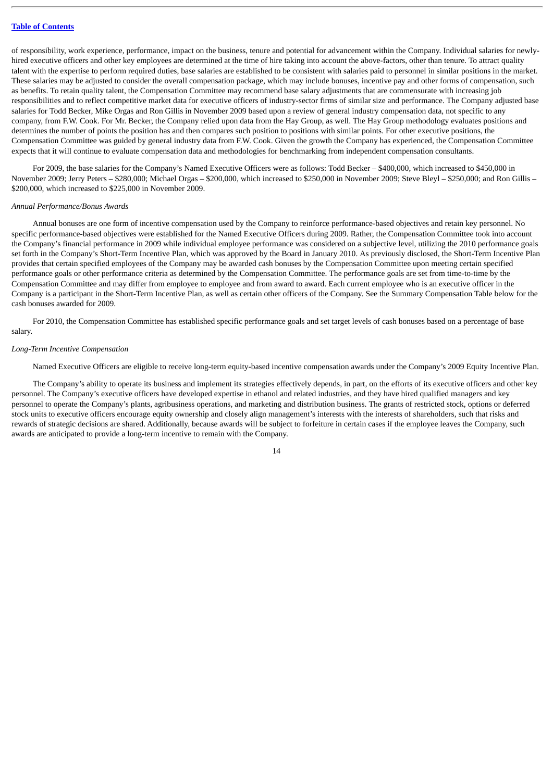of responsibility, work experience, performance, impact on the business, tenure and potential for advancement within the Company. Individual salaries for newlyhired executive officers and other key employees are determined at the time of hire taking into account the above-factors, other than tenure. To attract quality talent with the expertise to perform required duties, base salaries are established to be consistent with salaries paid to personnel in similar positions in the market. These salaries may be adjusted to consider the overall compensation package, which may include bonuses, incentive pay and other forms of compensation, such as benefits. To retain quality talent, the Compensation Committee may recommend base salary adjustments that are commensurate with increasing job responsibilities and to reflect competitive market data for executive officers of industry-sector firms of similar size and performance. The Company adjusted base salaries for Todd Becker, Mike Orgas and Ron Gillis in November 2009 based upon a review of general industry compensation data, not specific to any company, from F.W. Cook. For Mr. Becker, the Company relied upon data from the Hay Group, as well. The Hay Group methodology evaluates positions and determines the number of points the position has and then compares such position to positions with similar points. For other executive positions, the Compensation Committee was guided by general industry data from F.W. Cook. Given the growth the Company has experienced, the Compensation Committee expects that it will continue to evaluate compensation data and methodologies for benchmarking from independent compensation consultants.

For 2009, the base salaries for the Company's Named Executive Officers were as follows: Todd Becker – \$400,000, which increased to \$450,000 in November 2009; Jerry Peters – \$280,000; Michael Orgas – \$200,000, which increased to \$250,000 in November 2009; Steve Bleyl – \$250,000; and Ron Gillis – \$200,000, which increased to \$225,000 in November 2009.

#### *Annual Performance/Bonus Awards*

Annual bonuses are one form of incentive compensation used by the Company to reinforce performance-based objectives and retain key personnel. No specific performance-based objectives were established for the Named Executive Officers during 2009. Rather, the Compensation Committee took into account the Company's financial performance in 2009 while individual employee performance was considered on a subjective level, utilizing the 2010 performance goals set forth in the Company's Short-Term Incentive Plan, which was approved by the Board in January 2010. As previously disclosed, the Short-Term Incentive Plan provides that certain specified employees of the Company may be awarded cash bonuses by the Compensation Committee upon meeting certain specified performance goals or other performance criteria as determined by the Compensation Committee. The performance goals are set from time-to-time by the Compensation Committee and may differ from employee to employee and from award to award. Each current employee who is an executive officer in the Company is a participant in the Short-Term Incentive Plan, as well as certain other officers of the Company. See the Summary Compensation Table below for the cash bonuses awarded for 2009.

For 2010, the Compensation Committee has established specific performance goals and set target levels of cash bonuses based on a percentage of base salary.

#### *Long-Term Incentive Compensation*

Named Executive Officers are eligible to receive long-term equity-based incentive compensation awards under the Company's 2009 Equity Incentive Plan.

The Company's ability to operate its business and implement its strategies effectively depends, in part, on the efforts of its executive officers and other key personnel. The Company's executive officers have developed expertise in ethanol and related industries, and they have hired qualified managers and key personnel to operate the Company's plants, agribusiness operations, and marketing and distribution business. The grants of restricted stock, options or deferred stock units to executive officers encourage equity ownership and closely align management's interests with the interests of shareholders, such that risks and rewards of strategic decisions are shared. Additionally, because awards will be subject to forfeiture in certain cases if the employee leaves the Company, such awards are anticipated to provide a long-term incentive to remain with the Company.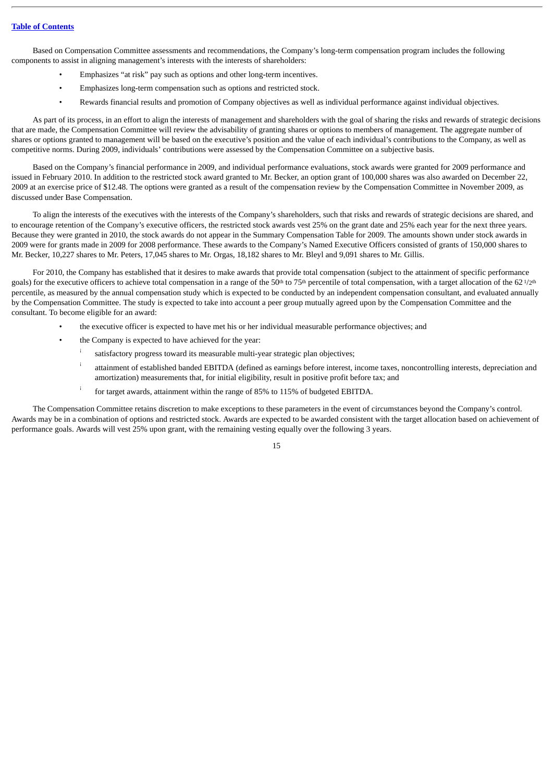Based on Compensation Committee assessments and recommendations, the Company's long-term compensation program includes the following components to assist in aligning management's interests with the interests of shareholders:

- Emphasizes "at risk" pay such as options and other long-term incentives.
- Emphasizes long-term compensation such as options and restricted stock.
- Rewards financial results and promotion of Company objectives as well as individual performance against individual objectives.

As part of its process, in an effort to align the interests of management and shareholders with the goal of sharing the risks and rewards of strategic decisions that are made, the Compensation Committee will review the advisability of granting shares or options to members of management. The aggregate number of shares or options granted to management will be based on the executive's position and the value of each individual's contributions to the Company, as well as competitive norms. During 2009, individuals' contributions were assessed by the Compensation Committee on a subjective basis.

Based on the Company's financial performance in 2009, and individual performance evaluations, stock awards were granted for 2009 performance and issued in February 2010. In addition to the restricted stock award granted to Mr. Becker, an option grant of 100,000 shares was also awarded on December 22, 2009 at an exercise price of \$12.48. The options were granted as a result of the compensation review by the Compensation Committee in November 2009, as discussed under Base Compensation.

To align the interests of the executives with the interests of the Company's shareholders, such that risks and rewards of strategic decisions are shared, and to encourage retention of the Company's executive officers, the restricted stock awards vest 25% on the grant date and 25% each year for the next three years. Because they were granted in 2010, the stock awards do not appear in the Summary Compensation Table for 2009. The amounts shown under stock awards in 2009 were for grants made in 2009 for 2008 performance. These awards to the Company's Named Executive Officers consisted of grants of 150,000 shares to Mr. Becker, 10,227 shares to Mr. Peters, 17,045 shares to Mr. Orgas, 18,182 shares to Mr. Bleyl and 9,091 shares to Mr. Gillis.

For 2010, the Company has established that it desires to make awards that provide total compensation (subject to the attainment of specific performance goals) for the executive officers to achieve total compensation in a range of the 50<sup>th</sup> to 75<sup>th</sup> percentile of total compensation, with a target allocation of the 62 1/2<sup>th</sup> percentile, as measured by the annual compensation study which is expected to be conducted by an independent compensation consultant, and evaluated annually by the Compensation Committee. The study is expected to take into account a peer group mutually agreed upon by the Compensation Committee and the consultant. To become eligible for an award:

- the executive officer is expected to have met his or her individual measurable performance objectives; and
- the Company is expected to have achieved for the year:
	- satisfactory progress toward its measurable multi-year strategic plan objectives; ¡
	- attainment of established banded EBITDA (defined as earnings before interest, income taxes, noncontrolling interests, depreciation and amortization) measurements that, for initial eligibility, result in positive profit before tax; and ¡
	- for target awards, attainment within the range of 85% to 115% of budgeted EBITDA. ¡

The Compensation Committee retains discretion to make exceptions to these parameters in the event of circumstances beyond the Company's control. Awards may be in a combination of options and restricted stock. Awards are expected to be awarded consistent with the target allocation based on achievement of performance goals. Awards will vest 25% upon grant, with the remaining vesting equally over the following 3 years.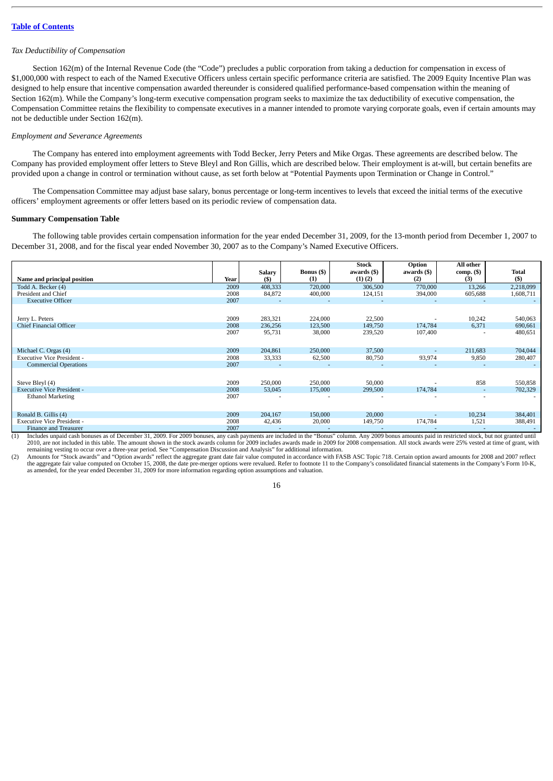#### *Tax Deductibility of Compensation*

Section 162(m) of the Internal Revenue Code (the "Code") precludes a public corporation from taking a deduction for compensation in excess of \$1,000,000 with respect to each of the Named Executive Officers unless certain specific performance criteria are satisfied. The 2009 Equity Incentive Plan was designed to help ensure that incentive compensation awarded thereunder is considered qualified performance-based compensation within the meaning of Section 162(m). While the Company's long-term executive compensation program seeks to maximize the tax deductibility of executive compensation, the Compensation Committee retains the flexibility to compensate executives in a manner intended to promote varying corporate goals, even if certain amounts may not be deductible under Section 162(m).

#### *Employment and Severance Agreements*

The Company has entered into employment agreements with Todd Becker, Jerry Peters and Mike Orgas. These agreements are described below. The Company has provided employment offer letters to Steve Bleyl and Ron Gillis, which are described below. Their employment is at-will, but certain benefits are provided upon a change in control or termination without cause, as set forth below at "Potential Payments upon Termination or Change in Control."

The Compensation Committee may adjust base salary, bonus percentage or long-term incentives to levels that exceed the initial terms of the executive officers' employment agreements or offer letters based on its periodic review of compensation data.

#### <span id="page-19-0"></span>**Summary Compensation Table**

The following table provides certain compensation information for the year ended December 31, 2009, for the 13-month period from December 1, 2007 to December 31, 2008, and for the fiscal year ended November 30, 2007 as to the Company's Named Executive Officers.

|                                   |      |                      |                          | <b>Stock</b>               | Option             | All other                |                        |
|-----------------------------------|------|----------------------|--------------------------|----------------------------|--------------------|--------------------------|------------------------|
| Name and principal position       | Year | <b>Salary</b><br>(5) | <b>Bonus</b> (\$)<br>(1) | awards (\$)<br>$(1)$ $(2)$ | awards (\$)<br>(2) | $comp. (\$)$<br>(3)      | <b>Total</b><br>$($ \$ |
|                                   |      |                      |                          |                            |                    |                          |                        |
| Todd A. Becker (4)                | 2009 | 408,333              | 720,000                  | 306,500                    | 770,000            | 13,266                   | 2,218,099              |
| President and Chief               | 2008 | 84,872               | 400,000                  | 124,151                    | 394,000            | 605,688                  | 1,608,711              |
| <b>Executive Officer</b>          | 2007 |                      |                          |                            |                    |                          |                        |
|                                   |      |                      |                          |                            |                    |                          |                        |
| Jerry L. Peters                   | 2009 | 283,321              | 224,000                  | 22,500                     |                    | 10,242                   | 540,063                |
| <b>Chief Financial Officer</b>    | 2008 | 236,256              | 123,500                  | 149,750                    | 174,784            | 6,371                    | 690,661                |
|                                   | 2007 | 95,731               | 38,000                   | 239,520                    | 107,400            |                          | 480,651                |
|                                   |      |                      |                          |                            |                    |                          |                        |
| Michael C. Orgas (4)              | 2009 | 204,861              | 250,000                  | 37,500                     | ٠                  | 211,683                  | 704,044                |
| <b>Executive Vice President -</b> | 2008 | 33,333               | 62,500                   | 80,750                     | 93,974             | 9,850                    | 280,407                |
| <b>Commercial Operations</b>      | 2007 | ÷                    | ٠                        | $\overline{a}$             |                    |                          |                        |
|                                   |      |                      |                          |                            |                    |                          |                        |
| Steve Bleyl (4)                   | 2009 | 250,000              | 250,000                  | 50,000                     |                    | 858                      | 550,858                |
| <b>Executive Vice President -</b> | 2008 | 53,045               | 175,000                  | 299,500                    | 174,784            | $\overline{\phantom{a}}$ | 702,329                |
| <b>Ethanol Marketing</b>          | 2007 |                      |                          |                            |                    |                          |                        |
|                                   |      |                      |                          |                            |                    |                          |                        |
| Ronald B. Gillis (4)              | 2009 | 204,167              | 150,000                  | 20,000                     |                    | 10,234                   | 384,401                |
| <b>Executive Vice President -</b> | 2008 | 42,436               | 20,000                   | 149,750                    | 174,784            | 1,521                    | 388,491                |
| Finance and Treasurer             | 2007 |                      |                          |                            |                    |                          |                        |

(1) Includes unpaid cash bonuses as of December 31, 2009. For 2009 bonuses, any cash payments are included in the "Bonus" column. Any 2009 bonus amounts paid in restricted stock, but not granted until<br>2010, are not include remaining vesting to occur over a three-year period. See "Compensation Discussion and Analysis" for additional information.

(2) Amounts for "Stock awards" and "Option awards" reflect the aggregate grant date fair value computed in accordance with FASB ASC Topic 718. Certain option award amounts for 2008 and 2007 reflect the aggregate fair value as amended, for the year ended December 31, 2009 for more information regarding option assumptions and valuation.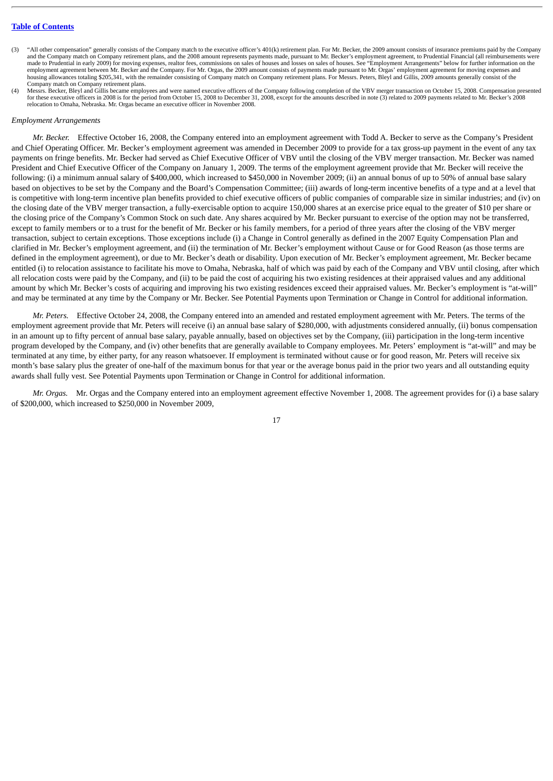- "All other compensation" generally consists of the Company match to the executive officer's 401(k) retirement plan. For Mr. Becker, the 2009 amount consists of insurance premiums paid by the Company and the Company match on Company retirement plans, and the 2008 amount represents payments made, pursuant to Mr. Becker's employment agreement, to Prudential Financial (all reimbursements were made to Prudential in early 2009) for moving expenses, realtor fees, commissions on sales of houses and losses on sales of houses. See "Employment Arrangements" below for further information on the employment agreement between Mr. Becker and the Company. For Mr. Orgas, the 2009 amount consists of payments made pursuant to Mr. Orgas' employment agreement for moving expenses and housing allowances totaling \$205,341, with the remainder consisting of Company match on Company retirement plans. For Messrs. Peters, Bleyl and Gillis, 2009 amounts generally consist of the Company match on Company retirement plans.
- Messrs. Becker, Bleyl and Gillis became employees and were named executive officers of the Company following completion of the VBV merger transaction on October 15, 2008. Compensation presented for these executive officers in 2008 is for the period from October 15, 2008 to December 31, 2008, except for the amounts described in note (3) related to 2009 payments related to Mr. Becker's 2008 relocation to Omaha, Nebraska. Mr. Orgas became an executive officer in November 2008.

#### *Employment Arrangements*

*Mr. Becker.* Effective October 16, 2008, the Company entered into an employment agreement with Todd A. Becker to serve as the Company's President and Chief Operating Officer. Mr. Becker's employment agreement was amended in December 2009 to provide for a tax gross-up payment in the event of any tax payments on fringe benefits. Mr. Becker had served as Chief Executive Officer of VBV until the closing of the VBV merger transaction. Mr. Becker was named President and Chief Executive Officer of the Company on January 1, 2009. The terms of the employment agreement provide that Mr. Becker will receive the following: (i) a minimum annual salary of \$400,000, which increased to \$450,000 in November 2009; (ii) an annual bonus of up to 50% of annual base salary based on objectives to be set by the Company and the Board's Compensation Committee; (iii) awards of long-term incentive benefits of a type and at a level that is competitive with long-term incentive plan benefits provided to chief executive officers of public companies of comparable size in similar industries; and (iv) on the closing date of the VBV merger transaction, a fully-exercisable option to acquire 150,000 shares at an exercise price equal to the greater of \$10 per share or the closing price of the Company's Common Stock on such date. Any shares acquired by Mr. Becker pursuant to exercise of the option may not be transferred, except to family members or to a trust for the benefit of Mr. Becker or his family members, for a period of three years after the closing of the VBV merger transaction, subject to certain exceptions. Those exceptions include (i) a Change in Control generally as defined in the 2007 Equity Compensation Plan and clarified in Mr. Becker's employment agreement, and (ii) the termination of Mr. Becker's employment without Cause or for Good Reason (as those terms are defined in the employment agreement), or due to Mr. Becker's death or disability. Upon execution of Mr. Becker's employment agreement, Mr. Becker became entitled (i) to relocation assistance to facilitate his move to Omaha, Nebraska, half of which was paid by each of the Company and VBV until closing, after which all relocation costs were paid by the Company, and (ii) to be paid the cost of acquiring his two existing residences at their appraised values and any additional amount by which Mr. Becker's costs of acquiring and improving his two existing residences exceed their appraised values. Mr. Becker's employment is "at-will" and may be terminated at any time by the Company or Mr. Becker. See Potential Payments upon Termination or Change in Control for additional information.

*Mr. Peters.* Effective October 24, 2008, the Company entered into an amended and restated employment agreement with Mr. Peters. The terms of the employment agreement provide that Mr. Peters will receive (i) an annual base salary of \$280,000, with adjustments considered annually, (ii) bonus compensation in an amount up to fifty percent of annual base salary, payable annually, based on objectives set by the Company, (iii) participation in the long-term incentive program developed by the Company, and (iv) other benefits that are generally available to Company employees. Mr. Peters' employment is "at-will" and may be terminated at any time, by either party, for any reason whatsoever. If employment is terminated without cause or for good reason, Mr. Peters will receive six month's base salary plus the greater of one-half of the maximum bonus for that year or the average bonus paid in the prior two years and all outstanding equity awards shall fully vest. See Potential Payments upon Termination or Change in Control for additional information.

*Mr. Orgas.* Mr. Orgas and the Company entered into an employment agreement effective November 1, 2008. The agreement provides for (i) a base salary of \$200,000, which increased to \$250,000 in November 2009,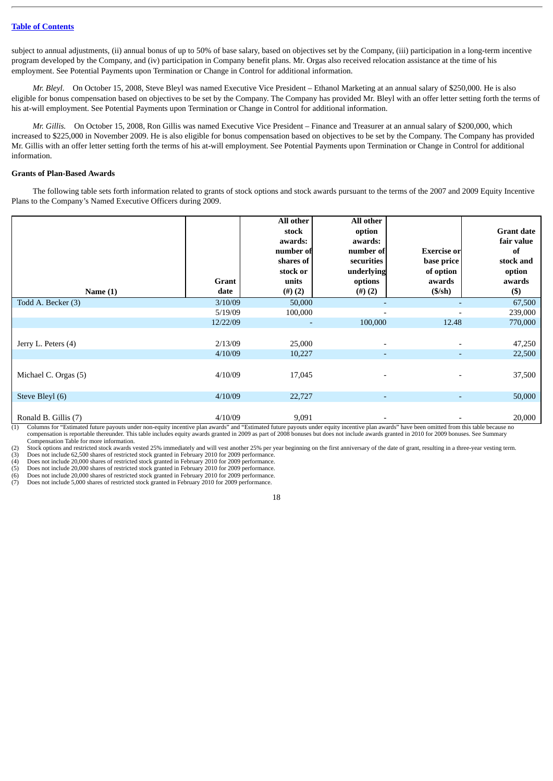subject to annual adjustments, (ii) annual bonus of up to 50% of base salary, based on objectives set by the Company, (iii) participation in a long-term incentive program developed by the Company, and (iv) participation in Company benefit plans. Mr. Orgas also received relocation assistance at the time of his employment. See Potential Payments upon Termination or Change in Control for additional information.

*Mr. Bleyl.* On October 15, 2008, Steve Bleyl was named Executive Vice President – Ethanol Marketing at an annual salary of \$250,000. He is also eligible for bonus compensation based on objectives to be set by the Company. The Company has provided Mr. Bleyl with an offer letter setting forth the terms of his at-will employment. See Potential Payments upon Termination or Change in Control for additional information.

*Mr. Gillis.* On October 15, 2008, Ron Gillis was named Executive Vice President – Finance and Treasurer at an annual salary of \$200,000, which increased to \$225,000 in November 2009. He is also eligible for bonus compensation based on objectives to be set by the Company. The Company has provided Mr. Gillis with an offer letter setting forth the terms of his at-will employment. See Potential Payments upon Termination or Change in Control for additional information.

#### <span id="page-21-0"></span>**Grants of Plan-Based Awards**

The following table sets forth information related to grants of stock options and stock awards pursuant to the terms of the 2007 and 2009 Equity Incentive Plans to the Company's Named Executive Officers during 2009.

| Name $(1)$           | <b>Grant</b><br>date | All other<br>stock<br>awards:<br>number of<br>shares of<br>stock or<br>units<br>$(4)$ (2) | All other<br>option<br>awards:<br>number of<br>securities<br>underlying<br>options<br>(4)(2) | <b>Exercise or</b><br>base price<br>of option<br>awards<br>$(S/\sh)$ | <b>Grant date</b><br>fair value<br>of<br>stock and<br>option<br>awards<br>$($ \$) |
|----------------------|----------------------|-------------------------------------------------------------------------------------------|----------------------------------------------------------------------------------------------|----------------------------------------------------------------------|-----------------------------------------------------------------------------------|
| Todd A. Becker (3)   | 3/10/09              | 50,000                                                                                    |                                                                                              |                                                                      | 67,500                                                                            |
|                      | 5/19/09              | 100,000                                                                                   |                                                                                              |                                                                      | 239,000                                                                           |
|                      | 12/22/09             | $\overline{\phantom{a}}$                                                                  | 100,000                                                                                      | 12.48                                                                | 770,000                                                                           |
| Jerry L. Peters (4)  | 2/13/09<br>4/10/09   | 25,000<br>10,227                                                                          | $\overline{\phantom{0}}$<br>٠                                                                | ٠                                                                    | 47,250<br>22,500                                                                  |
| Michael C. Orgas (5) | 4/10/09              | 17,045                                                                                    |                                                                                              |                                                                      | 37,500                                                                            |
| Steve Bleyl (6)      | 4/10/09              | 22,727                                                                                    | ٠                                                                                            | ٠                                                                    | 50,000                                                                            |
| Ronald B. Gillis (7) | 4/10/09              | 9,091                                                                                     |                                                                                              |                                                                      | 20,000                                                                            |

(1) Columns for "Estimated future payouts under non-equity incentive plan awards" and "Estimated future payouts under equity incentive plan awards" have been omitted from this table because no compensation is reportable thereunder. This table includes equity awards granted in 2009 as part of 2008 bonuses but does not include awards granted in 2010 for 2009 bonuses. See Summary Compensation Table for more information.

(2) Stock options and restricted stock awards vested 25% immediately and will vest another 25% per year beginning on the first anniversary of the date of grant, resulting in a three-year vesting term.<br>
(3) Does not include

Does not include 62,500 shares of restricted stock granted in February 2010 for 2009 performance.

Does not include 20,000 shares of restricted stock granted in February 2010 for 2009 performance.

(5) Does not include 20,000 shares of restricted stock granted in February 2010 for 2009 performance. Does not include 20,000 shares of restricted stock granted in February 2010 for 2009 performance.

(7) Does not include 5,000 shares of restricted stock granted in February 2010 for 2009 performance.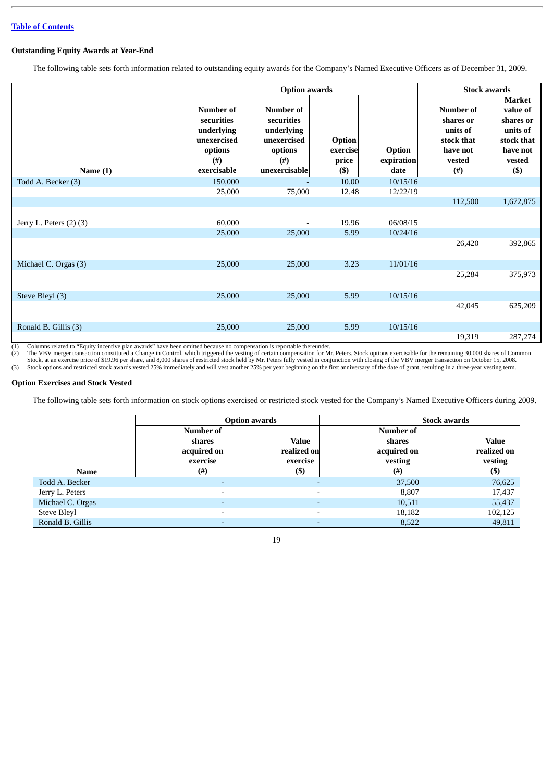#### <span id="page-22-0"></span>**Outstanding Equity Awards at Year-End**

The following table sets forth information related to outstanding equity awards for the Company's Named Executive Officers as of December 31, 2009.

|                         |                                                                                                    | <b>Stock awards</b>                                                                               |                                       |                              |                                                                                            |                                                                                                   |
|-------------------------|----------------------------------------------------------------------------------------------------|---------------------------------------------------------------------------------------------------|---------------------------------------|------------------------------|--------------------------------------------------------------------------------------------|---------------------------------------------------------------------------------------------------|
| Name $(1)$              | <b>Number of</b><br>securities<br>underlying<br>unexercised<br>options<br>$($ # $)$<br>exercisable | <b>Number of</b><br>securities<br>underlying<br>unexercised<br>options<br>$($ #)<br>unexercisable | Option<br>exercise<br>price<br>$($ \$ | Option<br>expiration<br>date | <b>Number of</b><br>shares or<br>units of<br>stock that<br>have not<br>vested<br>$($ # $)$ | <b>Market</b><br>value of<br>shares or<br>units of<br>stock that<br>have not<br>vested<br>$($ \$) |
| Todd A. Becker (3)      | 150,000                                                                                            |                                                                                                   | 10.00                                 | 10/15/16                     |                                                                                            |                                                                                                   |
|                         | 25,000                                                                                             | 75,000                                                                                            | 12.48                                 | 12/22/19                     |                                                                                            |                                                                                                   |
|                         |                                                                                                    |                                                                                                   |                                       |                              | 112,500                                                                                    | 1,672,875                                                                                         |
| Jerry L. Peters (2) (3) | 60,000                                                                                             | $\overline{\phantom{0}}$                                                                          | 19.96                                 | 06/08/15                     |                                                                                            |                                                                                                   |
|                         | 25,000                                                                                             | 25,000                                                                                            | 5.99                                  | 10/24/16                     |                                                                                            |                                                                                                   |
|                         |                                                                                                    |                                                                                                   |                                       |                              | 26,420                                                                                     | 392,865                                                                                           |
| Michael C. Orgas (3)    | 25,000                                                                                             | 25,000                                                                                            | 3.23                                  | 11/01/16                     |                                                                                            |                                                                                                   |
|                         |                                                                                                    |                                                                                                   |                                       |                              | 25,284                                                                                     | 375,973                                                                                           |
| Steve Bleyl (3)         | 25,000                                                                                             | 25,000                                                                                            | 5.99                                  | 10/15/16                     |                                                                                            |                                                                                                   |
|                         |                                                                                                    |                                                                                                   |                                       |                              | 42,045                                                                                     | 625,209                                                                                           |
| Ronald B. Gillis (3)    | 25,000                                                                                             | 25,000                                                                                            | 5.99                                  | 10/15/16                     |                                                                                            |                                                                                                   |
|                         |                                                                                                    |                                                                                                   |                                       |                              | 19,319                                                                                     | 287,274                                                                                           |

(1) Columns related to "Equity incentive plan awards" have been omitted because no compensation is reportable thereunder. The VBV merger transaction constituted a Change in Control, which triggered the vesting of certain compensation for Mr. Peters. Stock options exercisable for the remaining 30,000 shares of Common<br>Stock, at an exercise pric

#### <span id="page-22-1"></span>**Option Exercises and Stock Vested**

The following table sets forth information on stock options exercised or restricted stock vested for the Company's Named Executive Officers during 2009.

|                  |                          | <b>Stock awards</b><br>Option awards |             |              |
|------------------|--------------------------|--------------------------------------|-------------|--------------|
|                  | Number of                |                                      | Number of   |              |
|                  | shares                   | <b>Value</b>                         | shares      | <b>Value</b> |
|                  | acquired on              | realized on                          | acquired on | realized on  |
|                  | exercise                 | exercise                             | vesting     | vesting      |
| <b>Name</b>      | $^{(\#)}$                | $\left( \mathbb{S}\right)$           | $^{(#)}$    | (\$)         |
| Todd A. Becker   | $\overline{\phantom{0}}$ |                                      | 37,500      | 76,625       |
| Jerry L. Peters  | $\overline{\phantom{0}}$ |                                      | 8,807       | 17,437       |
| Michael C. Orgas | $\overline{\phantom{0}}$ |                                      | 10,511      | 55,437       |
| Steve Bleyl      | $\overline{\phantom{0}}$ |                                      | 18,182      | 102,125      |
| Ronald B. Gillis |                          |                                      | 8,522       | 49,811       |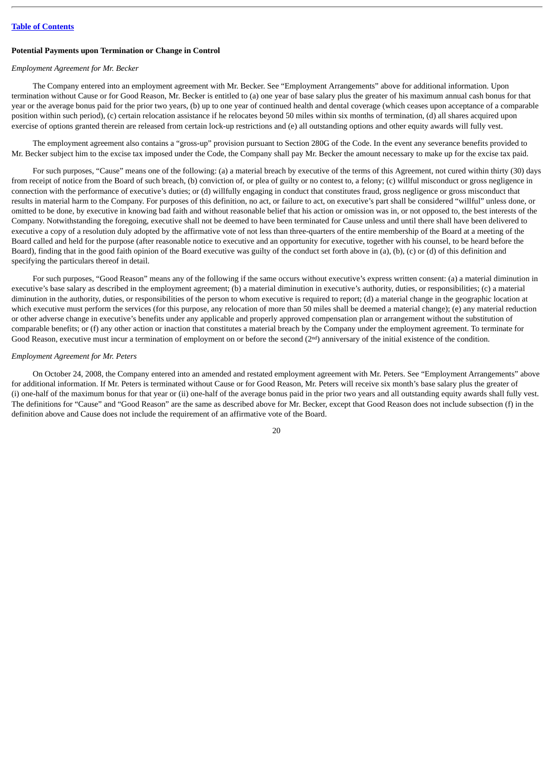#### <span id="page-23-0"></span>**Potential Payments upon Termination or Change in Control**

#### *Employment Agreement for Mr. Becker*

The Company entered into an employment agreement with Mr. Becker. See "Employment Arrangements" above for additional information. Upon termination without Cause or for Good Reason, Mr. Becker is entitled to (a) one year of base salary plus the greater of his maximum annual cash bonus for that year or the average bonus paid for the prior two years, (b) up to one year of continued health and dental coverage (which ceases upon acceptance of a comparable position within such period), (c) certain relocation assistance if he relocates beyond 50 miles within six months of termination, (d) all shares acquired upon exercise of options granted therein are released from certain lock-up restrictions and (e) all outstanding options and other equity awards will fully vest.

The employment agreement also contains a "gross-up" provision pursuant to Section 280G of the Code. In the event any severance benefits provided to Mr. Becker subject him to the excise tax imposed under the Code, the Company shall pay Mr. Becker the amount necessary to make up for the excise tax paid.

For such purposes, "Cause" means one of the following: (a) a material breach by executive of the terms of this Agreement, not cured within thirty (30) days from receipt of notice from the Board of such breach, (b) conviction of, or plea of guilty or no contest to, a felony; (c) willful misconduct or gross negligence in connection with the performance of executive's duties; or (d) willfully engaging in conduct that constitutes fraud, gross negligence or gross misconduct that results in material harm to the Company. For purposes of this definition, no act, or failure to act, on executive's part shall be considered "willful" unless done, or omitted to be done, by executive in knowing bad faith and without reasonable belief that his action or omission was in, or not opposed to, the best interests of the Company. Notwithstanding the foregoing, executive shall not be deemed to have been terminated for Cause unless and until there shall have been delivered to executive a copy of a resolution duly adopted by the affirmative vote of not less than three-quarters of the entire membership of the Board at a meeting of the Board called and held for the purpose (after reasonable notice to executive and an opportunity for executive, together with his counsel, to be heard before the Board), finding that in the good faith opinion of the Board executive was guilty of the conduct set forth above in (a), (b), (c) or (d) of this definition and specifying the particulars thereof in detail.

For such purposes, "Good Reason" means any of the following if the same occurs without executive's express written consent: (a) a material diminution in executive's base salary as described in the employment agreement; (b) a material diminution in executive's authority, duties, or responsibilities; (c) a material diminution in the authority, duties, or responsibilities of the person to whom executive is required to report; (d) a material change in the geographic location at which executive must perform the services (for this purpose, any relocation of more than 50 miles shall be deemed a material change); (e) any material reduction or other adverse change in executive's benefits under any applicable and properly approved compensation plan or arrangement without the substitution of comparable benefits; or (f) any other action or inaction that constitutes a material breach by the Company under the employment agreement. To terminate for Good Reason, executive must incur a termination of employment on or before the second  $(2<sup>nd</sup>)$  anniversary of the initial existence of the condition.

#### *Employment Agreement for Mr. Peters*

On October 24, 2008, the Company entered into an amended and restated employment agreement with Mr. Peters. See "Employment Arrangements" above for additional information. If Mr. Peters is terminated without Cause or for Good Reason, Mr. Peters will receive six month's base salary plus the greater of (i) one-half of the maximum bonus for that year or (ii) one-half of the average bonus paid in the prior two years and all outstanding equity awards shall fully vest. The definitions for "Cause" and "Good Reason" are the same as described above for Mr. Becker, except that Good Reason does not include subsection (f) in the definition above and Cause does not include the requirement of an affirmative vote of the Board.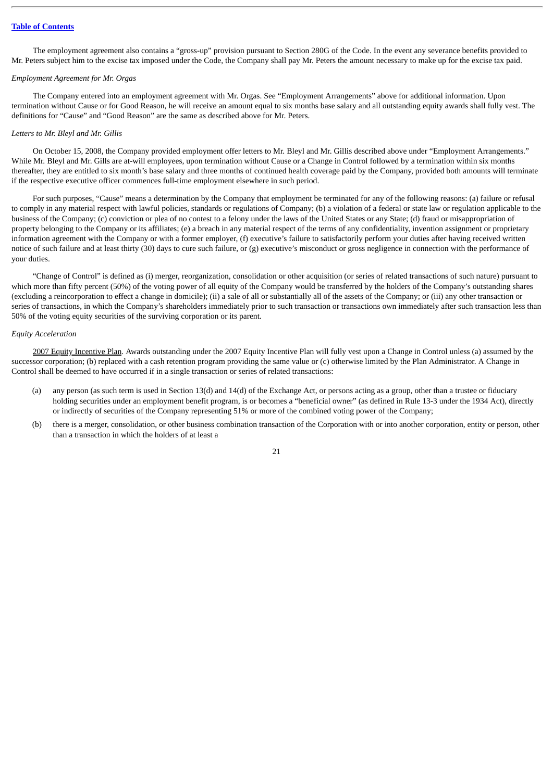The employment agreement also contains a "gross-up" provision pursuant to Section 280G of the Code. In the event any severance benefits provided to Mr. Peters subject him to the excise tax imposed under the Code, the Company shall pay Mr. Peters the amount necessary to make up for the excise tax paid.

#### *Employment Agreement for Mr. Orgas*

The Company entered into an employment agreement with Mr. Orgas. See "Employment Arrangements" above for additional information. Upon termination without Cause or for Good Reason, he will receive an amount equal to six months base salary and all outstanding equity awards shall fully vest. The definitions for "Cause" and "Good Reason" are the same as described above for Mr. Peters.

#### *Letters to Mr. Bleyl and Mr. Gillis*

On October 15, 2008, the Company provided employment offer letters to Mr. Bleyl and Mr. Gillis described above under "Employment Arrangements." While Mr. Bleyl and Mr. Gills are at-will employees, upon termination without Cause or a Change in Control followed by a termination within six months thereafter, they are entitled to six month's base salary and three months of continued health coverage paid by the Company, provided both amounts will terminate if the respective executive officer commences full-time employment elsewhere in such period.

For such purposes, "Cause" means a determination by the Company that employment be terminated for any of the following reasons: (a) failure or refusal to comply in any material respect with lawful policies, standards or regulations of Company; (b) a violation of a federal or state law or regulation applicable to the business of the Company; (c) conviction or plea of no contest to a felony under the laws of the United States or any State; (d) fraud or misappropriation of property belonging to the Company or its affiliates; (e) a breach in any material respect of the terms of any confidentiality, invention assignment or proprietary information agreement with the Company or with a former employer, (f) executive's failure to satisfactorily perform your duties after having received written notice of such failure and at least thirty (30) days to cure such failure, or (g) executive's misconduct or gross negligence in connection with the performance of your duties.

"Change of Control" is defined as (i) merger, reorganization, consolidation or other acquisition (or series of related transactions of such nature) pursuant to which more than fifty percent (50%) of the voting power of all equity of the Company would be transferred by the holders of the Company's outstanding shares (excluding a reincorporation to effect a change in domicile); (ii) a sale of all or substantially all of the assets of the Company; or (iii) any other transaction or series of transactions, in which the Company's shareholders immediately prior to such transaction or transactions own immediately after such transaction less than 50% of the voting equity securities of the surviving corporation or its parent.

#### *Equity Acceleration*

2007 Equity Incentive Plan. Awards outstanding under the 2007 Equity Incentive Plan will fully vest upon a Change in Control unless (a) assumed by the successor corporation; (b) replaced with a cash retention program providing the same value or (c) otherwise limited by the Plan Administrator. A Change in Control shall be deemed to have occurred if in a single transaction or series of related transactions:

- (a) any person (as such term is used in Section 13(d) and 14(d) of the Exchange Act, or persons acting as a group, other than a trustee or fiduciary holding securities under an employment benefit program, is or becomes a "beneficial owner" (as defined in Rule 13-3 under the 1934 Act), directly or indirectly of securities of the Company representing 51% or more of the combined voting power of the Company;
- (b) there is a merger, consolidation, or other business combination transaction of the Corporation with or into another corporation, entity or person, other than a transaction in which the holders of at least a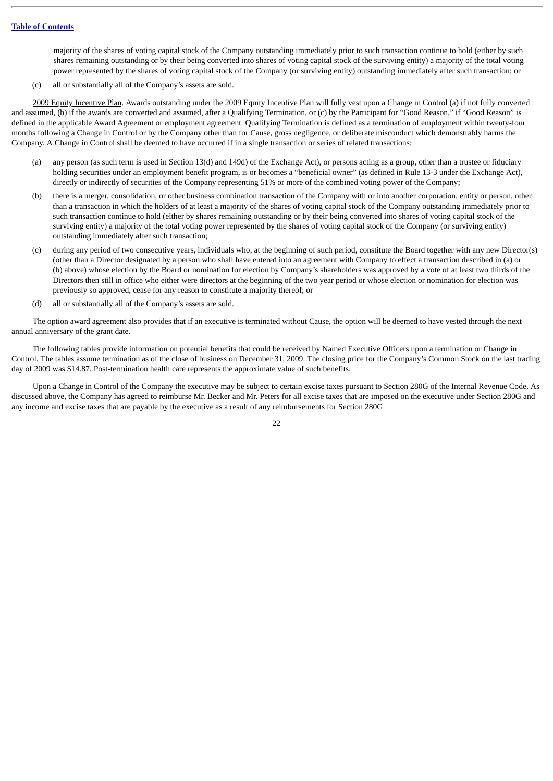majority of the shares of voting capital stock of the Company outstanding immediately prior to such transaction continue to hold (either by such shares remaining outstanding or by their being converted into shares of voting capital stock of the surviving entity) a majority of the total voting power represented by the shares of voting capital stock of the Company (or surviving entity) outstanding immediately after such transaction; or

(c) all or substantially all of the Company's assets are sold.

2009 Equity Incentive Plan. Awards outstanding under the 2009 Equity Incentive Plan will fully vest upon a Change in Control (a) if not fully converted and assumed, (b) if the awards are converted and assumed, after a Qualifying Termination, or (c) by the Participant for "Good Reason," if "Good Reason" is defined in the applicable Award Agreement or employment agreement. Qualifying Termination is defined as a termination of employment within twenty-four months following a Change in Control or by the Company other than for Cause, gross negligence, or deliberate misconduct which demonstrably harms the Company. A Change in Control shall be deemed to have occurred if in a single transaction or series of related transactions:

- (a) any person (as such term is used in Section 13(d) and 149d) of the Exchange Act), or persons acting as a group, other than a trustee or fiduciary holding securities under an employment benefit program, is or becomes a "beneficial owner" (as defined in Rule 13-3 under the Exchange Act), directly or indirectly of securities of the Company representing 51% or more of the combined voting power of the Company;
- (b) there is a merger, consolidation, or other business combination transaction of the Company with or into another corporation, entity or person, other than a transaction in which the holders of at least a majority of the shares of voting capital stock of the Company outstanding immediately prior to such transaction continue to hold (either by shares remaining outstanding or by their being converted into shares of voting capital stock of the surviving entity) a majority of the total voting power represented by the shares of voting capital stock of the Company (or surviving entity) outstanding immediately after such transaction;
- (c) during any period of two consecutive years, individuals who, at the beginning of such period, constitute the Board together with any new Director(s) (other than a Director designated by a person who shall have entered into an agreement with Company to effect a transaction described in (a) or (b) above) whose election by the Board or nomination for election by Company's shareholders was approved by a vote of at least two thirds of the Directors then still in office who either were directors at the beginning of the two year period or whose election or nomination for election was previously so approved, cease for any reason to constitute a majority thereof; or
- (d) all or substantially all of the Company's assets are sold.

The option award agreement also provides that if an executive is terminated without Cause, the option will be deemed to have vested through the next annual anniversary of the grant date.

The following tables provide information on potential benefits that could be received by Named Executive Officers upon a termination or Change in Control. The tables assume termination as of the close of business on December 31, 2009. The closing price for the Company's Common Stock on the last trading day of 2009 was \$14.87. Post-termination health care represents the approximate value of such benefits.

Upon a Change in Control of the Company the executive may be subject to certain excise taxes pursuant to Section 280G of the Internal Revenue Code. As discussed above, the Company has agreed to reimburse Mr. Becker and Mr. Peters for all excise taxes that are imposed on the executive under Section 280G and any income and excise taxes that are payable by the executive as a result of any reimbursements for Section 280G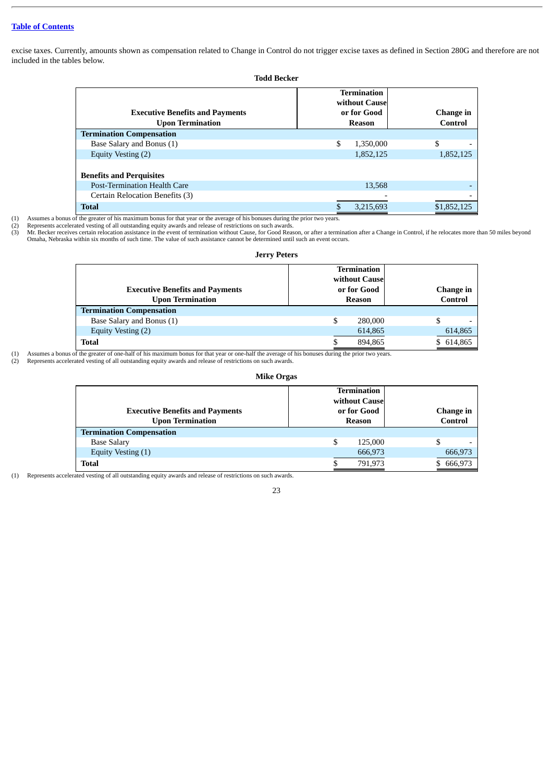excise taxes. Currently, amounts shown as compensation related to Change in Control do not trigger excise taxes as defined in Section 280G and therefore are not included in the tables below.

| <b>Todd Becker</b>                                                |                                                              |                      |  |  |  |  |
|-------------------------------------------------------------------|--------------------------------------------------------------|----------------------|--|--|--|--|
| <b>Executive Benefits and Payments</b><br><b>Upon Termination</b> | <b>Termination</b><br>without Cause<br>or for Good<br>Reason | Change in<br>Control |  |  |  |  |
| <b>Termination Compensation</b>                                   |                                                              |                      |  |  |  |  |
| Base Salary and Bonus (1)                                         | \$<br>1,350,000                                              | \$                   |  |  |  |  |
| Equity Vesting (2)                                                | 1,852,125                                                    | 1,852,125            |  |  |  |  |
| <b>Benefits and Perquisites</b>                                   |                                                              |                      |  |  |  |  |
| <b>Post-Termination Health Care</b>                               | 13,568                                                       |                      |  |  |  |  |
| Certain Relocation Benefits (3)                                   |                                                              |                      |  |  |  |  |
| <b>Total</b>                                                      | \$<br>3,215,693                                              | \$1,852,125          |  |  |  |  |

(1) Assumes a bonus of the greater of his maximum bonus for that year or the average of his bonuses during the prior two years.

(2) Represents accelerated vesting of all outstanding equity awards and release of restrictions on such awards.<br>(3) Mr. Becker receives certain relocation assistance in the event of termination without Cause, for Good Reas Omaha, Nebraska within six months of such time. The value of such assistance cannot be determined until such an event occurs.

| <b>Jerry Peters</b>                                               |                                                              |                                |  |  |  |
|-------------------------------------------------------------------|--------------------------------------------------------------|--------------------------------|--|--|--|
| <b>Executive Benefits and Payments</b><br><b>Upon Termination</b> | <b>Termination</b><br>without Cause<br>or for Good<br>Reason | Change in<br>Control           |  |  |  |
| <b>Termination Compensation</b>                                   |                                                              |                                |  |  |  |
| Base Salary and Bonus (1)                                         | \$<br>280,000                                                | \$<br>$\overline{\phantom{0}}$ |  |  |  |
| Equity Vesting (2)                                                | 614,865                                                      | 614,865                        |  |  |  |
| <b>Total</b>                                                      | 894,865                                                      | 614,865                        |  |  |  |

 (1) Assumes a bonus of the greater of one-half of his maximum bonus for that year or one-half the average of his bonuses during the prior two years. (2) Represents accelerated vesting of all outstanding equity awards and release of restrictions on such awards.

## **Mike Orgas**

| <b>Executive Benefits and Payments</b><br><b>Upon Termination</b> | <b>Termination</b><br>without Cause<br>or for Good<br>Reason | Change in<br>Control |
|-------------------------------------------------------------------|--------------------------------------------------------------|----------------------|
| <b>Termination Compensation</b>                                   |                                                              |                      |
| <b>Base Salary</b>                                                | S<br>125,000                                                 | S                    |
| Equity Vesting (1)                                                | 666,973                                                      | 666,973              |
| <b>Total</b>                                                      | 791,973                                                      | 666,973              |

(1) Represents accelerated vesting of all outstanding equity awards and release of restrictions on such awards.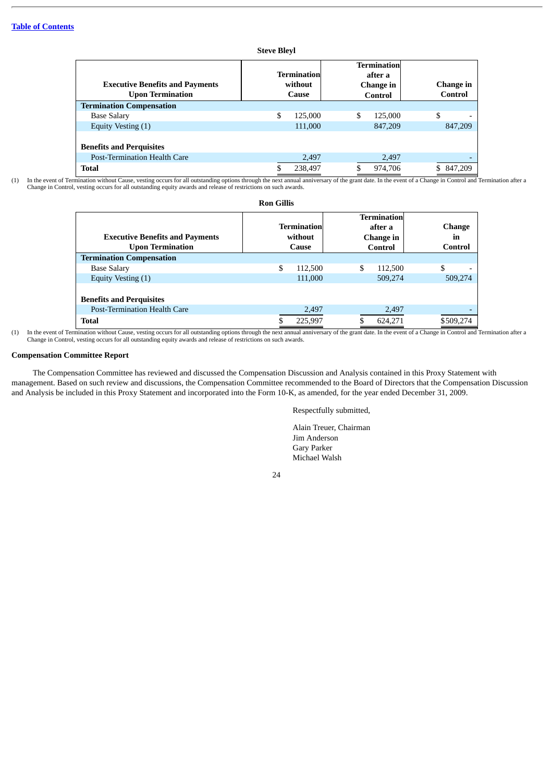|                                                                   | Steve Bievi                      |                                                       |                      |
|-------------------------------------------------------------------|----------------------------------|-------------------------------------------------------|----------------------|
| <b>Executive Benefits and Payments</b><br><b>Upon Termination</b> | Terminationl<br>without<br>Cause | <b>Termination</b><br>after a<br>Change in<br>Control | Change in<br>Control |
| <b>Termination Compensation</b>                                   |                                  |                                                       |                      |
| <b>Base Salary</b>                                                | \$<br>125,000                    | \$<br>125,000                                         | \$                   |
| Equity Vesting (1)                                                | 111,000                          | 847,209                                               | 847,209              |
| <b>Benefits and Perquisites</b>                                   |                                  |                                                       |                      |
| <b>Post-Termination Health Care</b>                               | 2,497                            | 2,497                                                 |                      |
| <b>Total</b>                                                      | 238,497                          | 974,706                                               | 847.209              |

**Steve Bleyl**

(1) In the event of Termination without Cause, vesting occurs for all outstanding options through the next annual anniversary of the grant date. In the event of a Change in Control and Termination after a Change in Control, vesting occurs for all outstanding equity awards and release of restrictions on such awards.

| <b>Ron Gillis</b>                                                 |                                 |         |                                                       |         |                                |
|-------------------------------------------------------------------|---------------------------------|---------|-------------------------------------------------------|---------|--------------------------------|
| <b>Executive Benefits and Payments</b><br><b>Upon Termination</b> | Termination<br>without<br>Cause |         | <b>Termination</b><br>after a<br>Change in<br>Control |         | <b>Change</b><br>in<br>Control |
| <b>Termination Compensation</b>                                   |                                 |         |                                                       |         |                                |
| <b>Base Salary</b>                                                | \$                              | 112,500 | \$                                                    | 112,500 | \$                             |
| Equity Vesting (1)                                                |                                 | 111,000 |                                                       | 509,274 | 509,274                        |
| <b>Benefits and Perquisites</b>                                   |                                 |         |                                                       |         |                                |
| Post-Termination Health Care                                      |                                 | 2,497   |                                                       | 2,497   | $\overline{\phantom{0}}$       |
| <b>Total</b>                                                      |                                 | 225.997 |                                                       | 624.271 | \$509.274                      |

(1) In the event of Termination without Cause, vesting occurs for all outstanding options through the next annual anniversary of the grant date. In the event of a Change in Control and Termination after a Change in Control, vesting occurs for all outstanding equity awards and release of restrictions on such awards.

#### <span id="page-27-0"></span>**Compensation Committee Report**

The Compensation Committee has reviewed and discussed the Compensation Discussion and Analysis contained in this Proxy Statement with management. Based on such review and discussions, the Compensation Committee recommended to the Board of Directors that the Compensation Discussion and Analysis be included in this Proxy Statement and incorporated into the Form 10-K, as amended, for the year ended December 31, 2009.

Respectfully submitted,

Alain Treuer, Chairman Jim Anderson Gary Parker Michael Walsh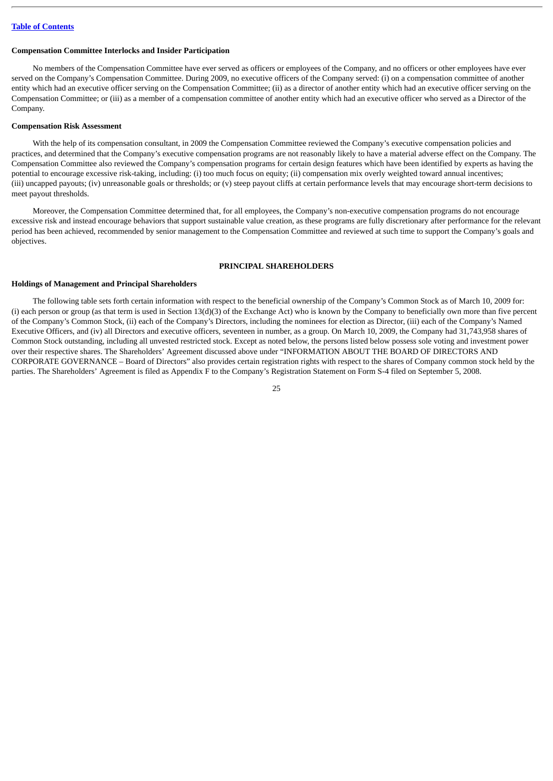#### <span id="page-28-0"></span>**Compensation Committee Interlocks and Insider Participation**

No members of the Compensation Committee have ever served as officers or employees of the Company, and no officers or other employees have ever served on the Company's Compensation Committee. During 2009, no executive officers of the Company served: (i) on a compensation committee of another entity which had an executive officer serving on the Compensation Committee; (ii) as a director of another entity which had an executive officer serving on the Compensation Committee; or (iii) as a member of a compensation committee of another entity which had an executive officer who served as a Director of the Company.

#### <span id="page-28-1"></span>**Compensation Risk Assessment**

With the help of its compensation consultant, in 2009 the Compensation Committee reviewed the Company's executive compensation policies and practices, and determined that the Company's executive compensation programs are not reasonably likely to have a material adverse effect on the Company. The Compensation Committee also reviewed the Company's compensation programs for certain design features which have been identified by experts as having the potential to encourage excessive risk-taking, including: (i) too much focus on equity; (ii) compensation mix overly weighted toward annual incentives; (iii) uncapped payouts; (iv) unreasonable goals or thresholds; or (v) steep payout cliffs at certain performance levels that may encourage short-term decisions to meet payout thresholds.

Moreover, the Compensation Committee determined that, for all employees, the Company's non-executive compensation programs do not encourage excessive risk and instead encourage behaviors that support sustainable value creation, as these programs are fully discretionary after performance for the relevant period has been achieved, recommended by senior management to the Compensation Committee and reviewed at such time to support the Company's goals and objectives.

#### **PRINCIPAL SHAREHOLDERS**

#### <span id="page-28-3"></span><span id="page-28-2"></span>**Holdings of Management and Principal Shareholders**

The following table sets forth certain information with respect to the beneficial ownership of the Company's Common Stock as of March 10, 2009 for: (i) each person or group (as that term is used in Section  $13(d)(3)$  of the Exchange Act) who is known by the Company to beneficially own more than five percent of the Company's Common Stock, (ii) each of the Company's Directors, including the nominees for election as Director, (iii) each of the Company's Named Executive Officers, and (iv) all Directors and executive officers, seventeen in number, as a group. On March 10, 2009, the Company had 31,743,958 shares of Common Stock outstanding, including all unvested restricted stock. Except as noted below, the persons listed below possess sole voting and investment power over their respective shares. The Shareholders' Agreement discussed above under "INFORMATION ABOUT THE BOARD OF DIRECTORS AND CORPORATE GOVERNANCE – Board of Directors" also provides certain registration rights with respect to the shares of Company common stock held by the parties. The Shareholders' Agreement is filed as Appendix F to the Company's Registration Statement on Form S-4 filed on September 5, 2008.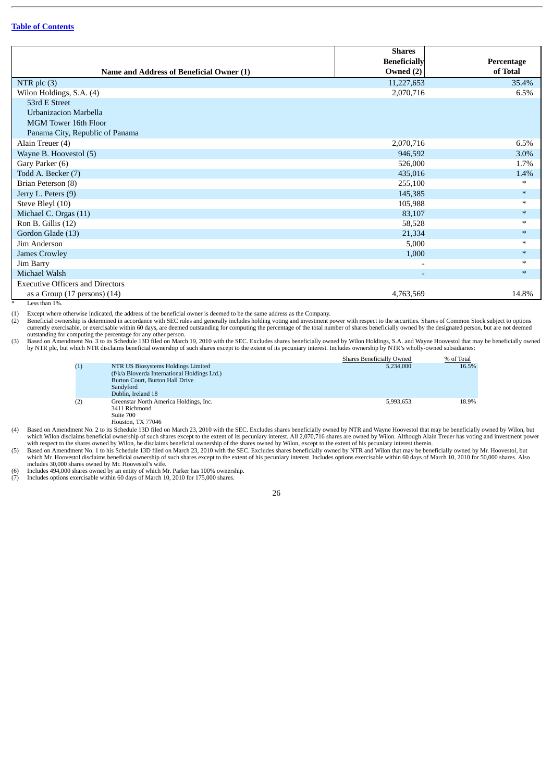|                                          | <b>Shares</b>            |            |
|------------------------------------------|--------------------------|------------|
|                                          | <b>Beneficially</b>      | Percentage |
| Name and Address of Beneficial Owner (1) | Owned (2)                | of Total   |
| NTR plc (3)                              | 11,227,653               | 35.4%      |
| Wilon Holdings, S.A. (4)                 | 2,070,716                | 6.5%       |
| 53rd E Street                            |                          |            |
| Urbanizacion Marbella                    |                          |            |
| MGM Tower 16th Floor                     |                          |            |
| Panama City, Republic of Panama          |                          |            |
| Alain Treuer (4)                         | 2,070,716                | 6.5%       |
| Wayne B. Hoovestol (5)                   | 946,592                  | 3.0%       |
| Gary Parker (6)                          | 526,000                  | 1.7%       |
| Todd A. Becker (7)                       | 435,016                  | 1.4%       |
| Brian Peterson (8)                       | 255,100                  | $\ast$     |
| Jerry L. Peters (9)                      | 145,385                  | $\ast$     |
| Steve Bleyl (10)                         | 105,988                  | $\ast$     |
| Michael C. Orgas (11)                    | 83,107                   | $*$        |
| Ron B. Gillis (12)                       | 58,528                   | $\ast$     |
| Gordon Glade (13)                        | 21,334                   | $*$        |
| Jim Anderson                             | 5,000                    | $\ast$     |
| <b>James Crowley</b>                     | 1,000                    | $*$        |
| Jim Barry                                | $\overline{\phantom{a}}$ | $\ast$     |
| Michael Walsh                            | $\overline{\phantom{a}}$ | $*$        |
| <b>Executive Officers and Directors</b>  |                          |            |
| as a Group $(17$ persons $)(14)$         | 4,763,569                | 14.8%      |

\* Less than 1%.

(1) Except where otherwise indicated, the address of the beneficial owner is deemed to be the same address as the Company.<br>(2) Beneficial ownership is determined in accordance with SEC rules and generally includes holding

Example in accordance with a marrier with SEC rules and generally includes holding voting and investment power with respect to the securities. Shares of Common Stock subject to options Beneficial ownership is determined in currently exercisable, or exercisable within 60 days, are deemed outstanding for computing the percentage of the total number of shares beneficially owned by the designated person, but are not deemed

outstanding for computing the percentage for any other person.<br>(3) Based on Amendment No. 3 to its Schedule 13D filed on March 19, 2010 with the SEC. Excludes shares beneficially owned by Wilon Holdings, S.A. and Wayne Hoo by NTR plc, but which NTR disclaims beneficial ownership of such shares except to the extent of its pecuniary interest. Includes ownership by NTR's wholly-owned subsidiaries:

|     |                                                                                                                                                          | Shares Beneficially Owned | % of Total |
|-----|----------------------------------------------------------------------------------------------------------------------------------------------------------|---------------------------|------------|
| (1) | NTR US Biosystems Holdings Limited<br>(f/k/a Bioverda International Holdings Ltd.)<br>Burton Court, Burton Hall Drive<br>Sandyford<br>Dublin, Ireland 18 | 5.234,000                 | 16.5%      |
| (2) | Greenstar North America Holdings, Inc.<br>3411 Richmond<br>Suite 700<br>H <sub>outon</sub> TY 77046                                                      | 5,993,653                 | 18.9%      |

Houston, TX 77046<br>(4) Based on Amendment No. 2 to its Schedule 13D filed on March 23, 2010 with the SEC. Excludes shares beneficially owned by NTR and Wayne Hoovestol that may be beneficially owned by Wilon, but which Wilon disclaims beneficial ownership of such shares except to the extent of its pecuniary interest. All 2,070,716 shares are owned by Wilon. Although Alain Treuer has voting and investment power with respect to the s

which Mr. Hoovestol disclaims beneficial ownership of such shares except to the extent of his pecuniary interest. Includes options exercisable within 60 days of March 10, 2010 for 50,000 shares. Also includes 30,000 shares

(6) Includes 494,000 shares owned by an entity of which Mr. Parker has 100% ownership.<br>(7) Includes options exercisable within 60 days of March 10, 2010 for 175,000 shares.

Includes options exercisable within 60 days of March 10, 2010 for 175,000 shares.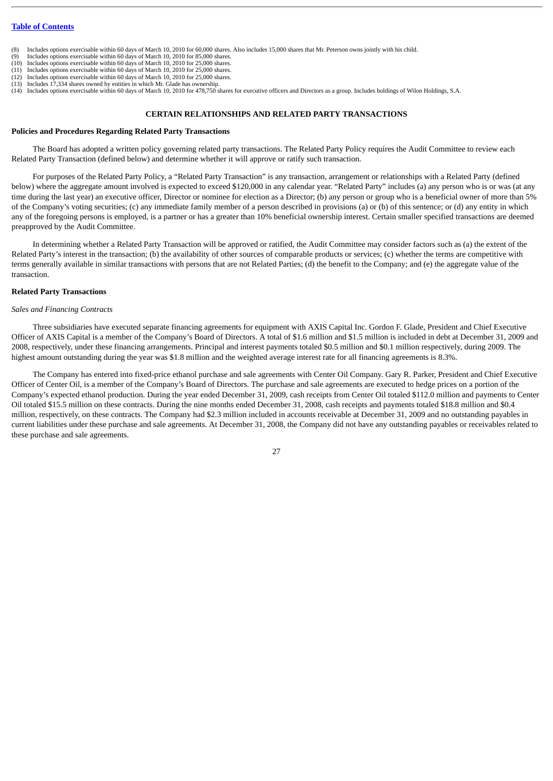- (8) Includes options exercisable within 60 days of March 10, 2010 for 60,000 shares. Also includes 15,000 shares that Mr. Peterson owns jointly with his child.<br>(9) Includes options exercisable within 60 days of March 10, 2
- Includes options exercisable within 60 days of March 10, 2010 for 85,000 shares.
- (10) Includes options exercisable within 60 days of March 10, 2010 for 25,000 shares. (11) Includes options exercisable within 60 days of March 10, 2010 for 25,000 shares.
- (12) Includes options exercisable within 60 days of March 10, 2010 for 25,000 shares.
- $(13)$  Includes 17,334 shares owned by entities in which Mr. Glade has ownership.
- (14) Includes options exercisable within 60 days of March 10, 2010 for 478,750 shares for executive officers and Directors as a group. Includes holdings of Wilon Holdings, S.A.

#### **CERTAIN RELATIONSHIPS AND RELATED PARTY TRANSACTIONS**

#### <span id="page-30-1"></span><span id="page-30-0"></span>**Policies and Procedures Regarding Related Party Transactions**

The Board has adopted a written policy governing related party transactions. The Related Party Policy requires the Audit Committee to review each Related Party Transaction (defined below) and determine whether it will approve or ratify such transaction.

For purposes of the Related Party Policy, a "Related Party Transaction" is any transaction, arrangement or relationships with a Related Party (defined below) where the aggregate amount involved is expected to exceed \$120,000 in any calendar year. "Related Party" includes (a) any person who is or was (at any time during the last year) an executive officer, Director or nominee for election as a Director; (b) any person or group who is a beneficial owner of more than 5% of the Company's voting securities; (c) any immediate family member of a person described in provisions (a) or (b) of this sentence; or (d) any entity in which any of the foregoing persons is employed, is a partner or has a greater than 10% beneficial ownership interest. Certain smaller specified transactions are deemed preapproved by the Audit Committee.

In determining whether a Related Party Transaction will be approved or ratified, the Audit Committee may consider factors such as (a) the extent of the Related Party's interest in the transaction; (b) the availability of other sources of comparable products or services; (c) whether the terms are competitive with terms generally available in similar transactions with persons that are not Related Parties; (d) the benefit to the Company; and (e) the aggregate value of the transaction.

#### <span id="page-30-2"></span>**Related Party Transactions**

#### *Sales and Financing Contracts*

Three subsidiaries have executed separate financing agreements for equipment with AXIS Capital Inc. Gordon F. Glade, President and Chief Executive Officer of AXIS Capital is a member of the Company's Board of Directors. A total of \$1.6 million and \$1.5 million is included in debt at December 31, 2009 and 2008, respectively, under these financing arrangements. Principal and interest payments totaled \$0.5 million and \$0.1 million respectively, during 2009. The highest amount outstanding during the year was \$1.8 million and the weighted average interest rate for all financing agreements is 8.3%.

The Company has entered into fixed-price ethanol purchase and sale agreements with Center Oil Company. Gary R. Parker, President and Chief Executive Officer of Center Oil, is a member of the Company's Board of Directors. The purchase and sale agreements are executed to hedge prices on a portion of the Company's expected ethanol production. During the year ended December 31, 2009, cash receipts from Center Oil totaled \$112.0 million and payments to Center Oil totaled \$15.5 million on these contracts. During the nine months ended December 31, 2008, cash receipts and payments totaled \$18.8 million and \$0.4 million, respectively, on these contracts. The Company had \$2.3 million included in accounts receivable at December 31, 2009 and no outstanding payables in current liabilities under these purchase and sale agreements. At December 31, 2008, the Company did not have any outstanding payables or receivables related to these purchase and sale agreements.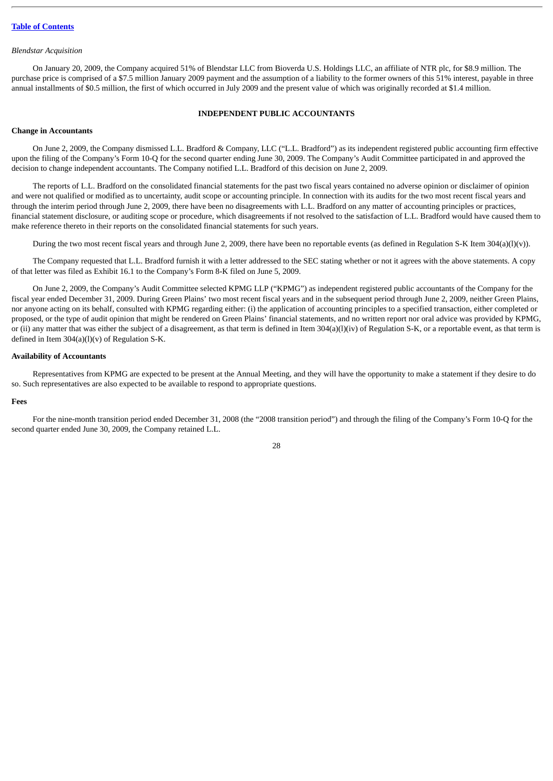#### *Blendstar Acquisition*

On January 20, 2009, the Company acquired 51% of Blendstar LLC from Bioverda U.S. Holdings LLC, an affiliate of NTR plc, for \$8.9 million. The purchase price is comprised of a \$7.5 million January 2009 payment and the assumption of a liability to the former owners of this 51% interest, payable in three annual installments of \$0.5 million, the first of which occurred in July 2009 and the present value of which was originally recorded at \$1.4 million.

#### **INDEPENDENT PUBLIC ACCOUNTANTS**

#### <span id="page-31-1"></span><span id="page-31-0"></span>**Change in Accountants**

On June 2, 2009, the Company dismissed L.L. Bradford & Company, LLC ("L.L. Bradford") as its independent registered public accounting firm effective upon the filing of the Company's Form 10-Q for the second quarter ending June 30, 2009. The Company's Audit Committee participated in and approved the decision to change independent accountants. The Company notified L.L. Bradford of this decision on June 2, 2009.

The reports of L.L. Bradford on the consolidated financial statements for the past two fiscal years contained no adverse opinion or disclaimer of opinion and were not qualified or modified as to uncertainty, audit scope or accounting principle. In connection with its audits for the two most recent fiscal years and through the interim period through June 2, 2009, there have been no disagreements with L.L. Bradford on any matter of accounting principles or practices, financial statement disclosure, or auditing scope or procedure, which disagreements if not resolved to the satisfaction of L.L. Bradford would have caused them to make reference thereto in their reports on the consolidated financial statements for such years.

During the two most recent fiscal years and through June 2, 2009, there have been no reportable events (as defined in Regulation S-K Item 304(a)(l)(v)).

The Company requested that L.L. Bradford furnish it with a letter addressed to the SEC stating whether or not it agrees with the above statements. A copy of that letter was filed as Exhibit 16.1 to the Company's Form 8-K filed on June 5, 2009.

On June 2, 2009, the Company's Audit Committee selected KPMG LLP ("KPMG") as independent registered public accountants of the Company for the fiscal year ended December 31, 2009. During Green Plains' two most recent fiscal years and in the subsequent period through June 2, 2009, neither Green Plains, nor anyone acting on its behalf, consulted with KPMG regarding either: (i) the application of accounting principles to a specified transaction, either completed or proposed, or the type of audit opinion that might be rendered on Green Plains' financial statements, and no written report nor oral advice was provided by KPMG, or (ii) any matter that was either the subject of a disagreement, as that term is defined in Item 304(a)(l)(iv) of Regulation S-K, or a reportable event, as that term is defined in Item  $304(a)(l)(v)$  of Regulation S-K.

#### <span id="page-31-2"></span>**Availability of Accountants**

Representatives from KPMG are expected to be present at the Annual Meeting, and they will have the opportunity to make a statement if they desire to do so. Such representatives are also expected to be available to respond to appropriate questions.

#### <span id="page-31-3"></span>**Fees**

For the nine-month transition period ended December 31, 2008 (the "2008 transition period") and through the filing of the Company's Form 10-Q for the second quarter ended June 30, 2009, the Company retained L.L.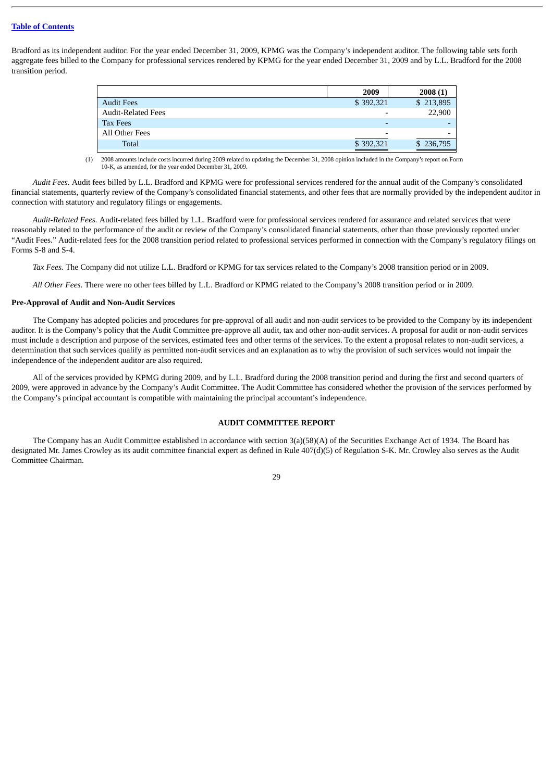Bradford as its independent auditor. For the year ended December 31, 2009, KPMG was the Company's independent auditor. The following table sets forth aggregate fees billed to the Company for professional services rendered by KPMG for the year ended December 31, 2009 and by L.L. Bradford for the 2008 transition period.

|                           | 2009                     | 2008(1)                  |
|---------------------------|--------------------------|--------------------------|
| <b>Audit Fees</b>         | \$392,321                | \$213,895                |
| <b>Audit-Related Fees</b> | $\overline{\phantom{0}}$ | 22,900                   |
| <b>Tax Fees</b>           | $\overline{\phantom{0}}$ |                          |
| All Other Fees            | $\overline{\phantom{0}}$ | $\overline{\phantom{a}}$ |
| Total                     | \$392,321                | \$236,795                |

(1) 2008 amounts include costs incurred during 2009 related to updating the December 31, 2008 opinion included in the Company's report on Form 10-K, as amended, for the year ended December 31, 2009.

*Audit Fees.* Audit fees billed by L.L. Bradford and KPMG were for professional services rendered for the annual audit of the Company's consolidated financial statements, quarterly review of the Company's consolidated financial statements, and other fees that are normally provided by the independent auditor in connection with statutory and regulatory filings or engagements.

*Audit-Related Fees.* Audit-related fees billed by L.L. Bradford were for professional services rendered for assurance and related services that were reasonably related to the performance of the audit or review of the Company's consolidated financial statements, other than those previously reported under "Audit Fees." Audit-related fees for the 2008 transition period related to professional services performed in connection with the Company's regulatory filings on Forms S-8 and S-4.

*Tax Fees.* The Company did not utilize L.L. Bradford or KPMG for tax services related to the Company's 2008 transition period or in 2009.

*All Other Fees.* There were no other fees billed by L.L. Bradford or KPMG related to the Company's 2008 transition period or in 2009.

#### <span id="page-32-0"></span>**Pre-Approval of Audit and Non-Audit Services**

The Company has adopted policies and procedures for pre-approval of all audit and non-audit services to be provided to the Company by its independent auditor. It is the Company's policy that the Audit Committee pre-approve all audit, tax and other non-audit services. A proposal for audit or non-audit services must include a description and purpose of the services, estimated fees and other terms of the services. To the extent a proposal relates to non-audit services, a determination that such services qualify as permitted non-audit services and an explanation as to why the provision of such services would not impair the independence of the independent auditor are also required.

All of the services provided by KPMG during 2009, and by L.L. Bradford during the 2008 transition period and during the first and second quarters of 2009, were approved in advance by the Company's Audit Committee. The Audit Committee has considered whether the provision of the services performed by the Company's principal accountant is compatible with maintaining the principal accountant's independence.

#### **AUDIT COMMITTEE REPORT**

<span id="page-32-1"></span>The Company has an Audit Committee established in accordance with section 3(a)(58)(A) of the Securities Exchange Act of 1934. The Board has designated Mr. James Crowley as its audit committee financial expert as defined in Rule 407(d)(5) of Regulation S-K. Mr. Crowley also serves as the Audit Committee Chairman.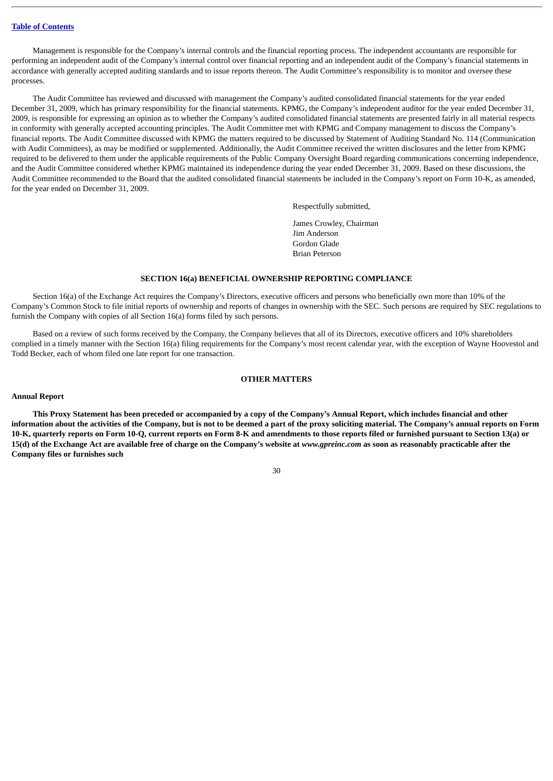Management is responsible for the Company's internal controls and the financial reporting process. The independent accountants are responsible for performing an independent audit of the Company's internal control over financial reporting and an independent audit of the Company's financial statements in accordance with generally accepted auditing standards and to issue reports thereon. The Audit Committee's responsibility is to monitor and oversee these processes.

The Audit Committee has reviewed and discussed with management the Company's audited consolidated financial statements for the year ended December 31, 2009, which has primary responsibility for the financial statements. KPMG, the Company's independent auditor for the year ended December 31, 2009, is responsible for expressing an opinion as to whether the Company's audited consolidated financial statements are presented fairly in all material respects in conformity with generally accepted accounting principles. The Audit Committee met with KPMG and Company management to discuss the Company's financial reports. The Audit Committee discussed with KPMG the matters required to be discussed by Statement of Auditing Standard No. 114 (Communication with Audit Committees), as may be modified or supplemented. Additionally, the Audit Committee received the written disclosures and the letter from KPMG required to be delivered to them under the applicable requirements of the Public Company Oversight Board regarding communications concerning independence, and the Audit Committee considered whether KPMG maintained its independence during the year ended December 31, 2009. Based on these discussions, the Audit Committee recommended to the Board that the audited consolidated financial statements be included in the Company's report on Form 10-K, as amended, for the year ended on December 31, 2009.

Respectfully submitted,

James Crowley, Chairman Jim Anderson Gordon Glade Brian Peterson

#### **SECTION 16(a) BENEFICIAL OWNERSHIP REPORTING COMPLIANCE**

<span id="page-33-0"></span>Section 16(a) of the Exchange Act requires the Company's Directors, executive officers and persons who beneficially own more than 10% of the Company's Common Stock to file initial reports of ownership and reports of changes in ownership with the SEC. Such persons are required by SEC regulations to furnish the Company with copies of all Section 16(a) forms filed by such persons.

Based on a review of such forms received by the Company, the Company believes that all of its Directors, executive officers and 10% shareholders complied in a timely manner with the Section 16(a) filing requirements for the Company's most recent calendar year, with the exception of Wayne Hoovestol and Todd Becker, each of whom filed one late report for one transaction.

#### **OTHER MATTERS**

#### <span id="page-33-2"></span><span id="page-33-1"></span>**Annual Report**

**This Proxy Statement has been preceded or accompanied by a copy of the Company's Annual Report, which includes financial and other information about the activities of the Company, but is not to be deemed a part of the proxy soliciting material. The Company's annual reports on Form 10-K, quarterly reports on Form 10-Q, current reports on Form 8-K and amendments to those reports filed or furnished pursuant to Section 13(a) or 15(d) of the Exchange Act are available free of charge on the Company's website at** *www.gpreinc.com* **as soon as reasonably practicable after the Company files or furnishes such**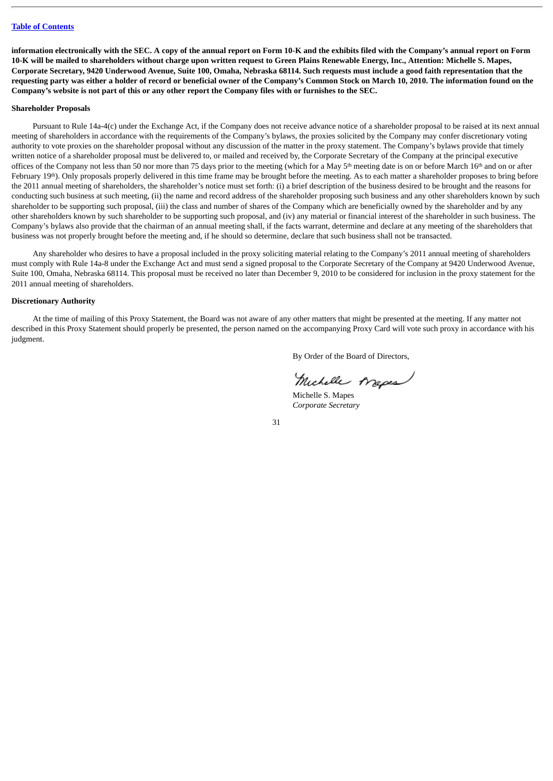**information electronically with the SEC. A copy of the annual report on Form 10-K and the exhibits filed with the Company's annual report on Form 10-K will be mailed to shareholders without charge upon written request to Green Plains Renewable Energy, Inc., Attention: Michelle S. Mapes, Corporate Secretary, 9420 Underwood Avenue, Suite 100, Omaha, Nebraska 68114. Such requests must include a good faith representation that the requesting party was either a holder of record or beneficial owner of the Company's Common Stock on March 10, 2010. The information found on the Company's website is not part of this or any other report the Company files with or furnishes to the SEC.**

#### <span id="page-34-0"></span>**Shareholder Proposals**

Pursuant to Rule 14a-4(c) under the Exchange Act, if the Company does not receive advance notice of a shareholder proposal to be raised at its next annual meeting of shareholders in accordance with the requirements of the Company's bylaws, the proxies solicited by the Company may confer discretionary voting authority to vote proxies on the shareholder proposal without any discussion of the matter in the proxy statement. The Company's bylaws provide that timely written notice of a shareholder proposal must be delivered to, or mailed and received by, the Corporate Secretary of the Company at the principal executive offices of the Company not less than 50 nor more than 75 days prior to the meeting (which for a May 5<sup>th</sup> meeting date is on or before March 16<sup>th</sup> and on or after February 19<sup>th</sup>). Only proposals properly delivered in this time frame may be brought before the meeting. As to each matter a shareholder proposes to bring before the 2011 annual meeting of shareholders, the shareholder's notice must set forth: (i) a brief description of the business desired to be brought and the reasons for conducting such business at such meeting, (ii) the name and record address of the shareholder proposing such business and any other shareholders known by such shareholder to be supporting such proposal, (iii) the class and number of shares of the Company which are beneficially owned by the shareholder and by any other shareholders known by such shareholder to be supporting such proposal, and (iv) any material or financial interest of the shareholder in such business. The Company's bylaws also provide that the chairman of an annual meeting shall, if the facts warrant, determine and declare at any meeting of the shareholders that business was not properly brought before the meeting and, if he should so determine, declare that such business shall not be transacted.

Any shareholder who desires to have a proposal included in the proxy soliciting material relating to the Company's 2011 annual meeting of shareholders must comply with Rule 14a-8 under the Exchange Act and must send a signed proposal to the Corporate Secretary of the Company at 9420 Underwood Avenue, Suite 100, Omaha, Nebraska 68114. This proposal must be received no later than December 9, 2010 to be considered for inclusion in the proxy statement for the 2011 annual meeting of shareholders.

#### <span id="page-34-1"></span>**Discretionary Authority**

At the time of mailing of this Proxy Statement, the Board was not aware of any other matters that might be presented at the meeting. If any matter not described in this Proxy Statement should properly be presented, the person named on the accompanying Proxy Card will vote such proxy in accordance with his judgment.

By Order of the Board of Directors,

Michelle Arapes

Michelle S. Mapes *Corporate Secretary*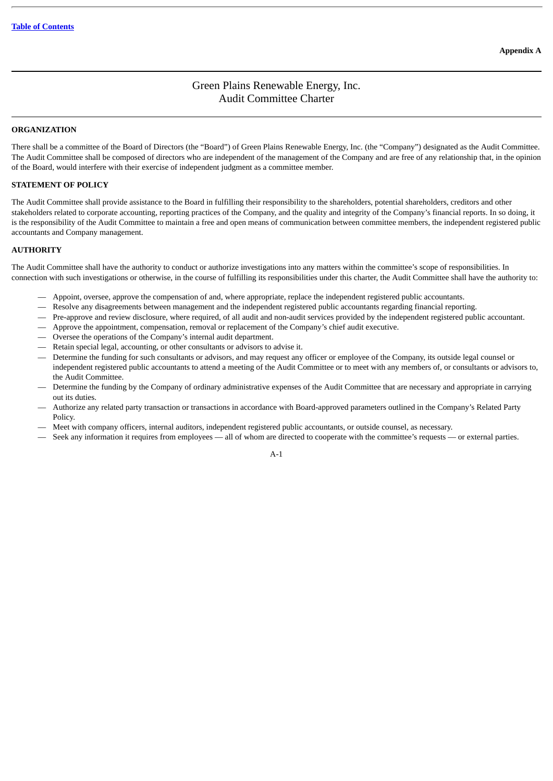## Green Plains Renewable Energy, Inc. Audit Committee Charter

#### <span id="page-35-0"></span>**ORGANIZATION**

There shall be a committee of the Board of Directors (the "Board") of Green Plains Renewable Energy, Inc. (the "Company") designated as the Audit Committee. The Audit Committee shall be composed of directors who are independent of the management of the Company and are free of any relationship that, in the opinion of the Board, would interfere with their exercise of independent judgment as a committee member.

#### **STATEMENT OF POLICY**

The Audit Committee shall provide assistance to the Board in fulfilling their responsibility to the shareholders, potential shareholders, creditors and other stakeholders related to corporate accounting, reporting practices of the Company, and the quality and integrity of the Company's financial reports. In so doing, it is the responsibility of the Audit Committee to maintain a free and open means of communication between committee members, the independent registered public accountants and Company management.

#### **AUTHORITY**

The Audit Committee shall have the authority to conduct or authorize investigations into any matters within the committee's scope of responsibilities. In connection with such investigations or otherwise, in the course of fulfilling its responsibilities under this charter, the Audit Committee shall have the authority to:

- Appoint, oversee, approve the compensation of and, where appropriate, replace the independent registered public accountants.
- Resolve any disagreements between management and the independent registered public accountants regarding financial reporting.
- Pre-approve and review disclosure, where required, of all audit and non-audit services provided by the independent registered public accountant.
- Approve the appointment, compensation, removal or replacement of the Company's chief audit executive.
- Oversee the operations of the Company's internal audit department.
- Retain special legal, accounting, or other consultants or advisors to advise it.
- Determine the funding for such consultants or advisors, and may request any officer or employee of the Company, its outside legal counsel or independent registered public accountants to attend a meeting of the Audit Committee or to meet with any members of, or consultants or advisors to, the Audit Committee.
- Determine the funding by the Company of ordinary administrative expenses of the Audit Committee that are necessary and appropriate in carrying out its duties.
- Authorize any related party transaction or transactions in accordance with Board-approved parameters outlined in the Company's Related Party Policy.
- Meet with company officers, internal auditors, independent registered public accountants, or outside counsel, as necessary.
- Seek any information it requires from employees all of whom are directed to cooperate with the committee's requests or external parties.

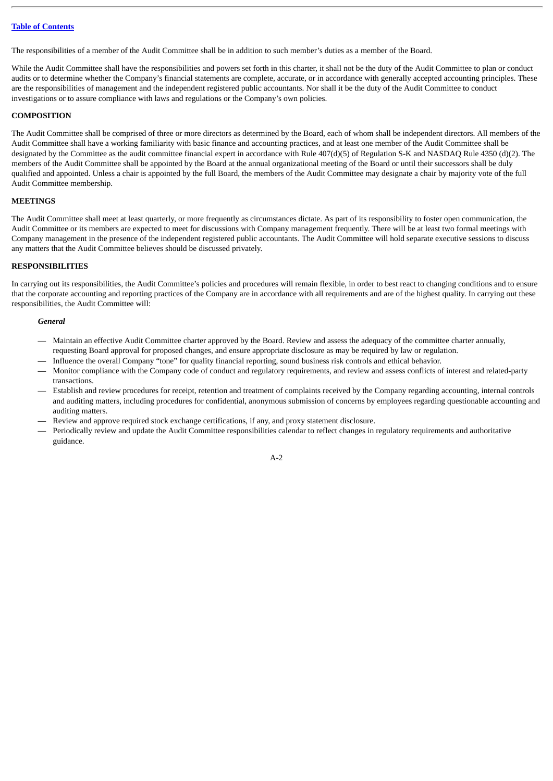The responsibilities of a member of the Audit Committee shall be in addition to such member's duties as a member of the Board.

While the Audit Committee shall have the responsibilities and powers set forth in this charter, it shall not be the duty of the Audit Committee to plan or conduct audits or to determine whether the Company's financial statements are complete, accurate, or in accordance with generally accepted accounting principles. These are the responsibilities of management and the independent registered public accountants. Nor shall it be the duty of the Audit Committee to conduct investigations or to assure compliance with laws and regulations or the Company's own policies.

#### **COMPOSITION**

The Audit Committee shall be comprised of three or more directors as determined by the Board, each of whom shall be independent directors. All members of the Audit Committee shall have a working familiarity with basic finance and accounting practices, and at least one member of the Audit Committee shall be designated by the Committee as the audit committee financial expert in accordance with Rule 407(d)(5) of Regulation S-K and NASDAQ Rule 4350 (d)(2). The members of the Audit Committee shall be appointed by the Board at the annual organizational meeting of the Board or until their successors shall be duly qualified and appointed. Unless a chair is appointed by the full Board, the members of the Audit Committee may designate a chair by majority vote of the full Audit Committee membership.

#### **MEETINGS**

The Audit Committee shall meet at least quarterly, or more frequently as circumstances dictate. As part of its responsibility to foster open communication, the Audit Committee or its members are expected to meet for discussions with Company management frequently. There will be at least two formal meetings with Company management in the presence of the independent registered public accountants. The Audit Committee will hold separate executive sessions to discuss any matters that the Audit Committee believes should be discussed privately.

#### **RESPONSIBILITIES**

In carrying out its responsibilities, the Audit Committee's policies and procedures will remain flexible, in order to best react to changing conditions and to ensure that the corporate accounting and reporting practices of the Company are in accordance with all requirements and are of the highest quality. In carrying out these responsibilities, the Audit Committee will:

#### *General*

- Maintain an effective Audit Committee charter approved by the Board. Review and assess the adequacy of the committee charter annually, requesting Board approval for proposed changes, and ensure appropriate disclosure as may be required by law or regulation.
- Influence the overall Company "tone" for quality financial reporting, sound business risk controls and ethical behavior.
- Monitor compliance with the Company code of conduct and regulatory requirements, and review and assess conflicts of interest and related-party transactions.
- Establish and review procedures for receipt, retention and treatment of complaints received by the Company regarding accounting, internal controls and auditing matters, including procedures for confidential, anonymous submission of concerns by employees regarding questionable accounting and auditing matters.
- Review and approve required stock exchange certifications, if any, and proxy statement disclosure.
- Periodically review and update the Audit Committee responsibilities calendar to reflect changes in regulatory requirements and authoritative guidance.

A-2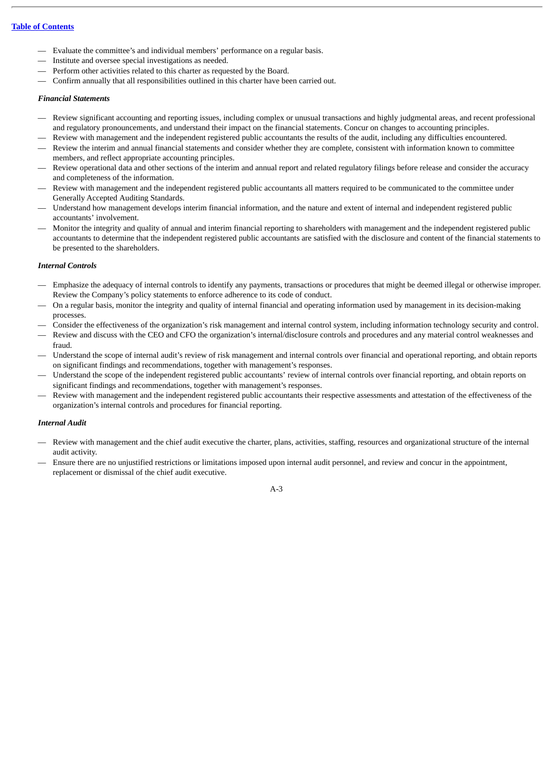- Evaluate the committee's and individual members' performance on a regular basis.
- Institute and oversee special investigations as needed.
- Perform other activities related to this charter as requested by the Board.
- Confirm annually that all responsibilities outlined in this charter have been carried out.

#### *Financial Statements*

- Review significant accounting and reporting issues, including complex or unusual transactions and highly judgmental areas, and recent professional and regulatory pronouncements, and understand their impact on the financial statements. Concur on changes to accounting principles.
- Review with management and the independent registered public accountants the results of the audit, including any difficulties encountered.
- Review the interim and annual financial statements and consider whether they are complete, consistent with information known to committee members, and reflect appropriate accounting principles.
- Review operational data and other sections of the interim and annual report and related regulatory filings before release and consider the accuracy and completeness of the information.
- Review with management and the independent registered public accountants all matters required to be communicated to the committee under Generally Accepted Auditing Standards.
- Understand how management develops interim financial information, and the nature and extent of internal and independent registered public accountants' involvement.
- Monitor the integrity and quality of annual and interim financial reporting to shareholders with management and the independent registered public accountants to determine that the independent registered public accountants are satisfied with the disclosure and content of the financial statements to be presented to the shareholders.

#### *Internal Controls*

- Emphasize the adequacy of internal controls to identify any payments, transactions or procedures that might be deemed illegal or otherwise improper. Review the Company's policy statements to enforce adherence to its code of conduct.
- On a regular basis, monitor the integrity and quality of internal financial and operating information used by management in its decision-making processes.
- Consider the effectiveness of the organization's risk management and internal control system, including information technology security and control.
- Review and discuss with the CEO and CFO the organization's internal/disclosure controls and procedures and any material control weaknesses and fraud.
- Understand the scope of internal audit's review of risk management and internal controls over financial and operational reporting, and obtain reports on significant findings and recommendations, together with management's responses.
- Understand the scope of the independent registered public accountants' review of internal controls over financial reporting, and obtain reports on significant findings and recommendations, together with management's responses.
- Review with management and the independent registered public accountants their respective assessments and attestation of the effectiveness of the organization's internal controls and procedures for financial reporting.

#### *Internal Audit*

- Review with management and the chief audit executive the charter, plans, activities, staffing, resources and organizational structure of the internal audit activity.
- Ensure there are no unjustified restrictions or limitations imposed upon internal audit personnel, and review and concur in the appointment, replacement or dismissal of the chief audit executive.

#### A-3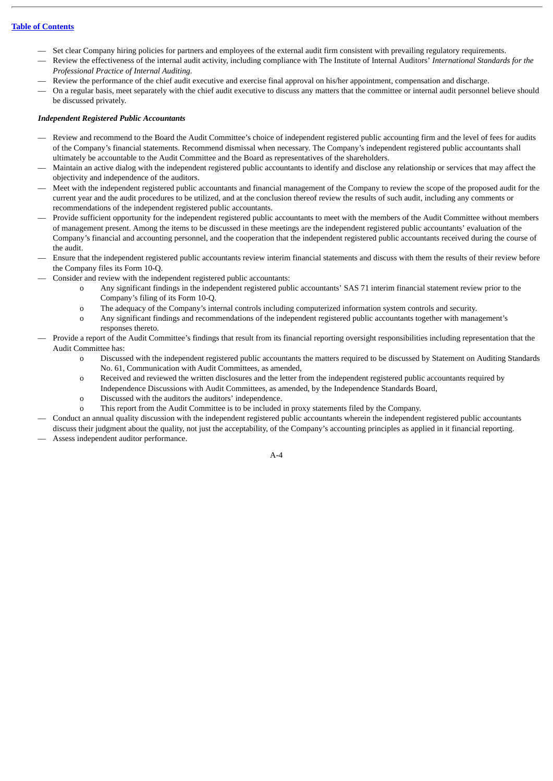- Set clear Company hiring policies for partners and employees of the external audit firm consistent with prevailing regulatory requirements.
- Review the effectiveness of the internal audit activity, including compliance with The Institute of Internal Auditors' *International Standards for the Professional Practice of Internal Auditing.*
- Review the performance of the chief audit executive and exercise final approval on his/her appointment, compensation and discharge.
- On a regular basis, meet separately with the chief audit executive to discuss any matters that the committee or internal audit personnel believe should be discussed privately.

#### *Independent Registered Public Accountants*

- Review and recommend to the Board the Audit Committee's choice of independent registered public accounting firm and the level of fees for audits of the Company's financial statements. Recommend dismissal when necessary. The Company's independent registered public accountants shall ultimately be accountable to the Audit Committee and the Board as representatives of the shareholders.
- Maintain an active dialog with the independent registered public accountants to identify and disclose any relationship or services that may affect the objectivity and independence of the auditors.
- Meet with the independent registered public accountants and financial management of the Company to review the scope of the proposed audit for the current year and the audit procedures to be utilized, and at the conclusion thereof review the results of such audit, including any comments or recommendations of the independent registered public accountants.
- Provide sufficient opportunity for the independent registered public accountants to meet with the members of the Audit Committee without members of management present. Among the items to be discussed in these meetings are the independent registered public accountants' evaluation of the Company's financial and accounting personnel, and the cooperation that the independent registered public accountants received during the course of the audit.
- Ensure that the independent registered public accountants review interim financial statements and discuss with them the results of their review before the Company files its Form 10-Q.
- Consider and review with the independent registered public accountants:
	- o Any significant findings in the independent registered public accountants' SAS 71 interim financial statement review prior to the Company's filing of its Form 10-Q.
	- o The adequacy of the Company's internal controls including computerized information system controls and security.
	- o Any significant findings and recommendations of the independent registered public accountants together with management's responses thereto.
- Provide a report of the Audit Committee's findings that result from its financial reporting oversight responsibilities including representation that the Audit Committee has:
	- Discussed with the independent registered public accountants the matters required to be discussed by Statement on Auditing Standards No. 61, Communication with Audit Committees, as amended,
	- o Received and reviewed the written disclosures and the letter from the independent registered public accountants required by Independence Discussions with Audit Committees, as amended, by the Independence Standards Board,
	- o Discussed with the auditors the auditors' independence.
	- o This report from the Audit Committee is to be included in proxy statements filed by the Company.
- Conduct an annual quality discussion with the independent registered public accountants wherein the independent registered public accountants discuss their judgment about the quality, not just the acceptability, of the Company's accounting principles as applied in it financial reporting. — Assess independent auditor performance.

 $A-4$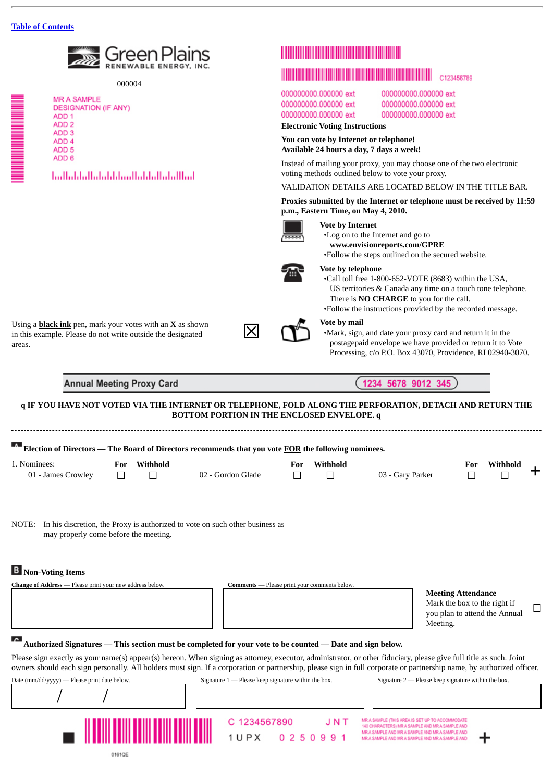

000004

| <b>MR A SAMPLE</b>         |
|----------------------------|
| <b>DESIGNATION (IF ANY</b> |
|                            |
| ADD 1                      |
| ADD <sub>2</sub>           |
| ADD 3                      |
| ADD <sub>4</sub>           |
| ADD <sub>5</sub>           |
| ADD 6                      |
|                            |

## اسلالتيا ببالتيا بابتان بالتا بابتا التبايا ببالتيا

# C123456789

000000000.000000 ext 000000000.000000 ext 000000000.000000 ext 000000000.000000 ext 000000000.000000 ext 000000000.000000 ext

## **Electronic Voting Instructions**

**You can vote by Internet or telephone! Available 24 hours a day, 7 days a week!**

Instead of mailing your proxy, you may choose one of the two electronic voting methods outlined below to vote your proxy.

#### VALIDATION DETAILS ARE LOCATED BELOW IN THE TITLE BAR.

**Proxies submitted by the Internet or telephone must be received by 11:59 p.m., Eastern Time, on May 4, 2010.**



#### **Vote by Internet**

•Log on to the Internet and go to

**www.envisionreports.com/GPRE**

•Follow the steps outlined on the secured website.



#### **Vote by telephone**

•Call toll free 1-800-652-VOTE (8683) within the USA, US territories & Canada any time on a touch tone telephone. There is **NO CHARGE** to you for the call.

•Follow the instructions provided by the recorded message.

#### **Vote by mail**

Using a **black ink** pen, mark your votes with an **X** as shown in this example. Please do not write outside the designated Using a **black ink** pen, mark your votes with an **X** as shown<br>in this example. Please do not write outside the designated<br>areas.

•Mark, sign, and date your proxy card and return it in the postagepaid envelope we have provided or return it to Vote Processing, c/o P.O. Box 43070, Providence, RI 02940-3070.

**Annual Meeting Proxy Card** 

9012 1234 5678 345

#### **q IF YOU HAVE NOT VOTED VIA THE INTERNET OR TELEPHONE, FOLD ALONG THE PERFORATION, DETACH AND RETURN THE BOTTOM PORTION IN THE ENCLOSED ENVELOPE. q**

|                    |     |          | $\overline{\textbf{A}}$ Election of Directors — The Board of Directors recommends that you vote <u>FOR</u> the following nominees. |     |          |                  |     |          |  |
|--------------------|-----|----------|------------------------------------------------------------------------------------------------------------------------------------|-----|----------|------------------|-----|----------|--|
| 1. Nominees:       | For | Withhold |                                                                                                                                    | For | Withhold |                  | For | Withhold |  |
| 01 - James Crowley |     |          | 02 - Gordon Glade                                                                                                                  |     |          | 03 - Gary Parker |     |          |  |

NOTE: In his discretion, the Proxy is authorized to vote on such other business as may properly come before the meeting.

## **Non-Voting Items**

| <b>Change of Address</b> — Please print your new address below. | Comments — Please print your comments below. |                        |
|-----------------------------------------------------------------|----------------------------------------------|------------------------|
|                                                                 |                                              | <b>Meeting Attenda</b> |
|                                                                 |                                              | Mark the box to th     |
|                                                                 |                                              | vou plan to attend     |

### nce

e right if the Annual Meeting.  $\Box$ 

## **Authorized Signatures — This section must be completed for your vote to be counted — Date and sign below.**

Please sign exactly as your name(s) appear(s) hereon. When signing as attorney, executor, administrator, or other fiduciary, please give full title as such. Joint owners should each sign personally. All holders must sign. If a corporation or partnership, please sign in full corporate or partnership name, by authorized officer.

| Date (mm/dd/yyyy) — Please print date below. | Signature $1$ — Please keep signature within the box.  | Signature $2$ — Please keep signature within the box.                                                                                                                                                     |
|----------------------------------------------|--------------------------------------------------------|-----------------------------------------------------------------------------------------------------------------------------------------------------------------------------------------------------------|
|                                              |                                                        |                                                                                                                                                                                                           |
|                                              | C 1234567890<br>JNT<br>0 2 5 0 9 9 1<br>1 <i>U</i> P X | MR A SAMPLE (THIS AREA IS SET UP TO ACCOMMODATE)<br>140 CHARACTERS) MR A SAMPLE AND MR A SAMPLE AND<br>MR A SAMPLE AND MR A SAMPLE AND MR A SAMPLE AND<br>MR A SAMPLE AND MR A SAMPLE AND MR A SAMPLE AND |